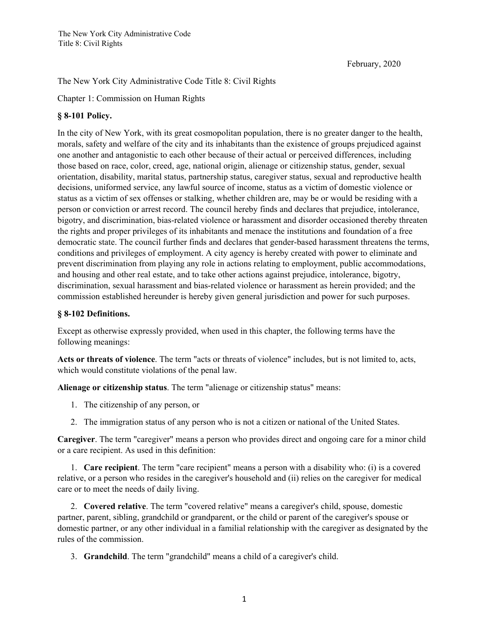February, 2020

## The New York City Administrative Code Title 8: Civil Rights

Chapter 1: Commission on Human Rights

## **§ 8-101 Policy.**

In the city of New York, with its great cosmopolitan population, there is no greater danger to the health, morals, safety and welfare of the city and its inhabitants than the existence of groups prejudiced against one another and antagonistic to each other because of their actual or perceived differences, including those based on race, color, creed, age, national origin, alienage or citizenship status, gender, sexual orientation, disability, marital status, partnership status, caregiver status, sexual and reproductive health decisions, uniformed service, any lawful source of income, status as a victim of domestic violence or status as a victim of sex offenses or stalking, whether children are, may be or would be residing with a person or conviction or arrest record. The council hereby finds and declares that prejudice, intolerance, bigotry, and discrimination, bias-related violence or harassment and disorder occasioned thereby threaten the rights and proper privileges of its inhabitants and menace the institutions and foundation of a free democratic state. The council further finds and declares that gender-based harassment threatens the terms, conditions and privileges of employment. A city agency is hereby created with power to eliminate and prevent discrimination from playing any role in actions relating to employment, public accommodations, and housing and other real estate, and to take other actions against prejudice, intolerance, bigotry, discrimination, sexual harassment and bias-related violence or harassment as herein provided; and the commission established hereunder is hereby given general jurisdiction and power for such purposes.

## **§ 8-102 Definitions.**

Except as otherwise expressly provided, when used in this chapter, the following terms have the following meanings:

**Acts or threats of violence**. The term "acts or threats of violence" includes, but is not limited to, acts, which would constitute violations of the penal law.

**Alienage or citizenship status**. The term "alienage or citizenship status" means:

- 1. The citizenship of any person, or
- 2. The immigration status of any person who is not a citizen or national of the United States.

**Caregiver**. The term "caregiver" means a person who provides direct and ongoing care for a minor child or a care recipient. As used in this definition:

 1. **Care recipient**. The term "care recipient" means a person with a disability who: (i) is a covered relative, or a person who resides in the caregiver's household and (ii) relies on the caregiver for medical care or to meet the needs of daily living.

 2. **Covered relative**. The term "covered relative" means a caregiver's child, spouse, domestic partner, parent, sibling, grandchild or grandparent, or the child or parent of the caregiver's spouse or domestic partner, or any other individual in a familial relationship with the caregiver as designated by the rules of the commission.

3. **Grandchild**. The term "grandchild" means a child of a caregiver's child.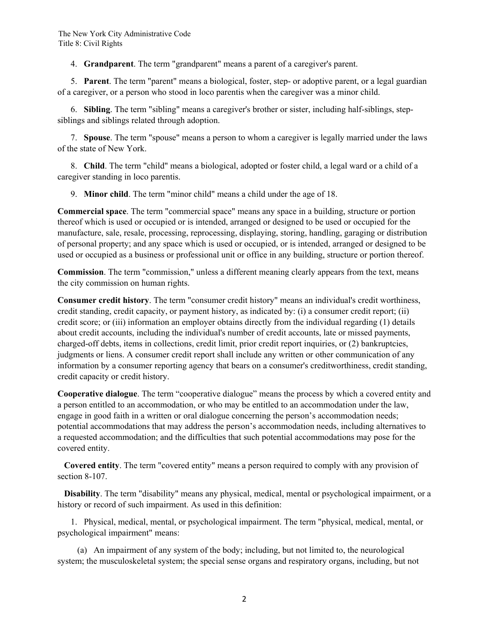4. **Grandparent**. The term "grandparent" means a parent of a caregiver's parent.

 5. **Parent**. The term "parent" means a biological, foster, step- or adoptive parent, or a legal guardian of a caregiver, or a person who stood in loco parentis when the caregiver was a minor child.

 6. **Sibling**. The term "sibling" means a caregiver's brother or sister, including half-siblings, stepsiblings and siblings related through adoption.

 7. **Spouse**. The term "spouse" means a person to whom a caregiver is legally married under the laws of the state of New York.

 8. **Child**. The term "child" means a biological, adopted or foster child, a legal ward or a child of a caregiver standing in loco parentis.

9. **Minor child**. The term "minor child" means a child under the age of 18.

**Commercial space**. The term "commercial space" means any space in a building, structure or portion thereof which is used or occupied or is intended, arranged or designed to be used or occupied for the manufacture, sale, resale, processing, reprocessing, displaying, storing, handling, garaging or distribution of personal property; and any space which is used or occupied, or is intended, arranged or designed to be used or occupied as a business or professional unit or office in any building, structure or portion thereof.

**Commission**. The term "commission," unless a different meaning clearly appears from the text, means the city commission on human rights.

**Consumer credit history**. The term "consumer credit history" means an individual's credit worthiness, credit standing, credit capacity, or payment history, as indicated by: (i) a consumer credit report; (ii) credit score; or (iii) information an employer obtains directly from the individual regarding (1) details about credit accounts, including the individual's number of credit accounts, late or missed payments, charged-off debts, items in collections, credit limit, prior credit report inquiries, or (2) bankruptcies, judgments or liens. A consumer credit report shall include any written or other communication of any information by a consumer reporting agency that bears on a consumer's creditworthiness, credit standing, credit capacity or credit history.

**Cooperative dialogue**. The term "cooperative dialogue" means the process by which a covered entity and a person entitled to an accommodation, or who may be entitled to an accommodation under the law, engage in good faith in a written or oral dialogue concerning the person's accommodation needs; potential accommodations that may address the person's accommodation needs, including alternatives to a requested accommodation; and the difficulties that such potential accommodations may pose for the covered entity.

 **Covered entity**. The term "covered entity" means a person required to comply with any provision of section 8-107.

 **Disability**. The term "disability" means any physical, medical, mental or psychological impairment, or a history or record of such impairment. As used in this definition:

 1. Physical, medical, mental, or psychological impairment. The term "physical, medical, mental, or psychological impairment" means:

 (a) An impairment of any system of the body; including, but not limited to, the neurological system; the musculoskeletal system; the special sense organs and respiratory organs, including, but not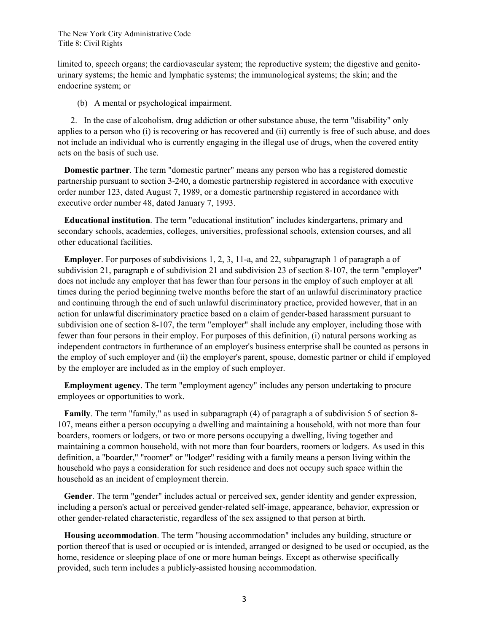limited to, speech organs; the cardiovascular system; the reproductive system; the digestive and genitourinary systems; the hemic and lymphatic systems; the immunological systems; the skin; and the endocrine system; or

(b) A mental or psychological impairment.

 2. In the case of alcoholism, drug addiction or other substance abuse, the term "disability" only applies to a person who (i) is recovering or has recovered and (ii) currently is free of such abuse, and does not include an individual who is currently engaging in the illegal use of drugs, when the covered entity acts on the basis of such use.

 **Domestic partner**. The term "domestic partner" means any person who has a registered domestic partnership pursuant to section 3-240, a domestic partnership registered in accordance with executive order number 123, dated August 7, 1989, or a domestic partnership registered in accordance with executive order number 48, dated January 7, 1993.

 **Educational institution**. The term "educational institution" includes kindergartens, primary and secondary schools, academies, colleges, universities, professional schools, extension courses, and all other educational facilities.

 **Employer**. For purposes of subdivisions 1, 2, 3, 11-a, and 22, subparagraph 1 of paragraph a of subdivision 21, paragraph e of subdivision 21 and subdivision 23 of section 8-107, the term "employer" does not include any employer that has fewer than four persons in the employ of such employer at all times during the period beginning twelve months before the start of an unlawful discriminatory practice and continuing through the end of such unlawful discriminatory practice, provided however, that in an action for unlawful discriminatory practice based on a claim of gender-based harassment pursuant to subdivision one of section 8-107, the term "employer" shall include any employer, including those with fewer than four persons in their employ. For purposes of this definition, (i) natural persons working as independent contractors in furtherance of an employer's business enterprise shall be counted as persons in the employ of such employer and (ii) the employer's parent, spouse, domestic partner or child if employed by the employer are included as in the employ of such employer.

 **Employment agency**. The term "employment agency" includes any person undertaking to procure employees or opportunities to work.

 **Family**. The term "family," as used in subparagraph (4) of paragraph a of subdivision 5 of section 8- 107, means either a person occupying a dwelling and maintaining a household, with not more than four boarders, roomers or lodgers, or two or more persons occupying a dwelling, living together and maintaining a common household, with not more than four boarders, roomers or lodgers. As used in this definition, a "boarder," "roomer" or "lodger" residing with a family means a person living within the household who pays a consideration for such residence and does not occupy such space within the household as an incident of employment therein.

 **Gender**. The term "gender" includes actual or perceived sex, gender identity and gender expression, including a person's actual or perceived gender-related self-image, appearance, behavior, expression or other gender-related characteristic, regardless of the sex assigned to that person at birth.

 **Housing accommodation**. The term "housing accommodation" includes any building, structure or portion thereof that is used or occupied or is intended, arranged or designed to be used or occupied, as the home, residence or sleeping place of one or more human beings. Except as otherwise specifically provided, such term includes a publicly-assisted housing accommodation.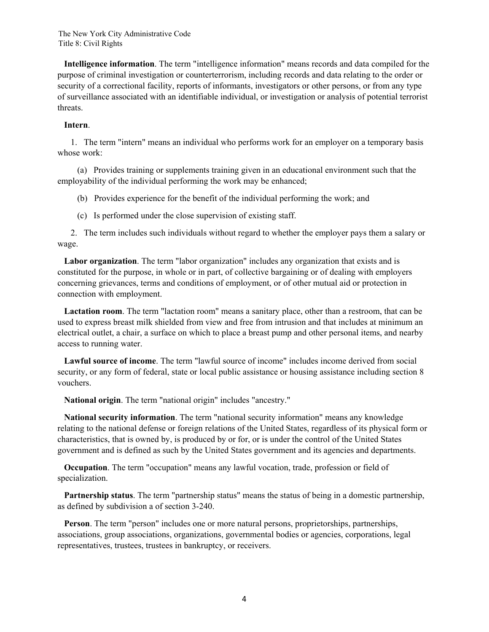**Intelligence information**. The term "intelligence information" means records and data compiled for the purpose of criminal investigation or counterterrorism, including records and data relating to the order or security of a correctional facility, reports of informants, investigators or other persons, or from any type of surveillance associated with an identifiable individual, or investigation or analysis of potential terrorist threats.

#### **Intern**.

 1. The term "intern" means an individual who performs work for an employer on a temporary basis whose work:

 (a) Provides training or supplements training given in an educational environment such that the employability of the individual performing the work may be enhanced;

(b) Provides experience for the benefit of the individual performing the work; and

(c) Is performed under the close supervision of existing staff.

 2. The term includes such individuals without regard to whether the employer pays them a salary or wage.

 **Labor organization**. The term "labor organization" includes any organization that exists and is constituted for the purpose, in whole or in part, of collective bargaining or of dealing with employers concerning grievances, terms and conditions of employment, or of other mutual aid or protection in connection with employment.

 **Lactation room**. The term "lactation room" means a sanitary place, other than a restroom, that can be used to express breast milk shielded from view and free from intrusion and that includes at minimum an electrical outlet, a chair, a surface on which to place a breast pump and other personal items, and nearby access to running water.

 **Lawful source of income**. The term "lawful source of income" includes income derived from social security, or any form of federal, state or local public assistance or housing assistance including section 8 vouchers.

**National origin**. The term "national origin" includes "ancestry."

 **National security information**. The term "national security information" means any knowledge relating to the national defense or foreign relations of the United States, regardless of its physical form or characteristics, that is owned by, is produced by or for, or is under the control of the United States government and is defined as such by the United States government and its agencies and departments.

 **Occupation**. The term "occupation" means any lawful vocation, trade, profession or field of specialization.

Partnership status. The term "partnership status" means the status of being in a domestic partnership, as defined by subdivision a of section 3-240.

 **Person**. The term "person" includes one or more natural persons, proprietorships, partnerships, associations, group associations, organizations, governmental bodies or agencies, corporations, legal representatives, trustees, trustees in bankruptcy, or receivers.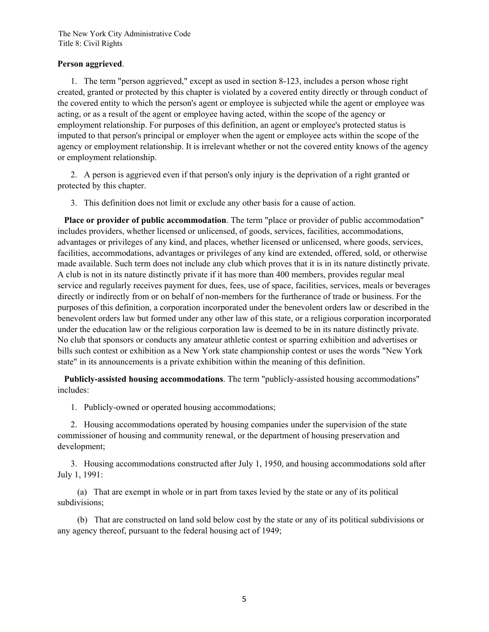## **Person aggrieved**.

 1. The term "person aggrieved," except as used in section 8-123, includes a person whose right created, granted or protected by this chapter is violated by a covered entity directly or through conduct of the covered entity to which the person's agent or employee is subjected while the agent or employee was acting, or as a result of the agent or employee having acted, within the scope of the agency or employment relationship. For purposes of this definition, an agent or employee's protected status is imputed to that person's principal or employer when the agent or employee acts within the scope of the agency or employment relationship. It is irrelevant whether or not the covered entity knows of the agency or employment relationship.

 2. A person is aggrieved even if that person's only injury is the deprivation of a right granted or protected by this chapter.

3. This definition does not limit or exclude any other basis for a cause of action.

 **Place or provider of public accommodation**. The term "place or provider of public accommodation" includes providers, whether licensed or unlicensed, of goods, services, facilities, accommodations, advantages or privileges of any kind, and places, whether licensed or unlicensed, where goods, services, facilities, accommodations, advantages or privileges of any kind are extended, offered, sold, or otherwise made available. Such term does not include any club which proves that it is in its nature distinctly private. A club is not in its nature distinctly private if it has more than 400 members, provides regular meal service and regularly receives payment for dues, fees, use of space, facilities, services, meals or beverages directly or indirectly from or on behalf of non-members for the furtherance of trade or business. For the purposes of this definition, a corporation incorporated under the benevolent orders law or described in the benevolent orders law but formed under any other law of this state, or a religious corporation incorporated under the education law or the religious corporation law is deemed to be in its nature distinctly private. No club that sponsors or conducts any amateur athletic contest or sparring exhibition and advertises or bills such contest or exhibition as a New York state championship contest or uses the words "New York state" in its announcements is a private exhibition within the meaning of this definition.

 **Publicly-assisted housing accommodations**. The term "publicly-assisted housing accommodations" includes:

1. Publicly-owned or operated housing accommodations;

 2. Housing accommodations operated by housing companies under the supervision of the state commissioner of housing and community renewal, or the department of housing preservation and development;

 3. Housing accommodations constructed after July 1, 1950, and housing accommodations sold after July 1, 1991:

 (a) That are exempt in whole or in part from taxes levied by the state or any of its political subdivisions;

 (b) That are constructed on land sold below cost by the state or any of its political subdivisions or any agency thereof, pursuant to the federal housing act of 1949;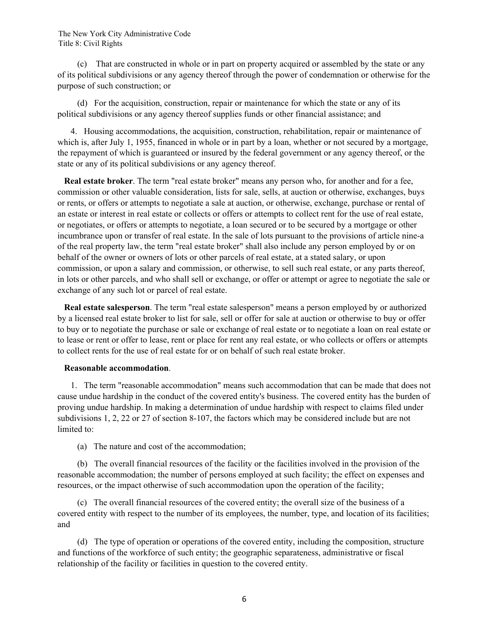(c) That are constructed in whole or in part on property acquired or assembled by the state or any of its political subdivisions or any agency thereof through the power of condemnation or otherwise for the purpose of such construction; or

 (d) For the acquisition, construction, repair or maintenance for which the state or any of its political subdivisions or any agency thereof supplies funds or other financial assistance; and

 4. Housing accommodations, the acquisition, construction, rehabilitation, repair or maintenance of which is, after July 1, 1955, financed in whole or in part by a loan, whether or not secured by a mortgage, the repayment of which is guaranteed or insured by the federal government or any agency thereof, or the state or any of its political subdivisions or any agency thereof.

 **Real estate broker**. The term "real estate broker" means any person who, for another and for a fee, commission or other valuable consideration, lists for sale, sells, at auction or otherwise, exchanges, buys or rents, or offers or attempts to negotiate a sale at auction, or otherwise, exchange, purchase or rental of an estate or interest in real estate or collects or offers or attempts to collect rent for the use of real estate, or negotiates, or offers or attempts to negotiate, a loan secured or to be secured by a mortgage or other incumbrance upon or transfer of real estate. In the sale of lots pursuant to the provisions of article nine-a of the real property law, the term "real estate broker" shall also include any person employed by or on behalf of the owner or owners of lots or other parcels of real estate, at a stated salary, or upon commission, or upon a salary and commission, or otherwise, to sell such real estate, or any parts thereof, in lots or other parcels, and who shall sell or exchange, or offer or attempt or agree to negotiate the sale or exchange of any such lot or parcel of real estate.

 **Real estate salesperson**. The term "real estate salesperson" means a person employed by or authorized by a licensed real estate broker to list for sale, sell or offer for sale at auction or otherwise to buy or offer to buy or to negotiate the purchase or sale or exchange of real estate or to negotiate a loan on real estate or to lease or rent or offer to lease, rent or place for rent any real estate, or who collects or offers or attempts to collect rents for the use of real estate for or on behalf of such real estate broker.

## **Reasonable accommodation**.

 1. The term "reasonable accommodation" means such accommodation that can be made that does not cause undue hardship in the conduct of the covered entity's business. The covered entity has the burden of proving undue hardship. In making a determination of undue hardship with respect to claims filed under subdivisions 1, 2, 22 or 27 of section 8-107, the factors which may be considered include but are not limited to:

(a) The nature and cost of the accommodation;

 (b) The overall financial resources of the facility or the facilities involved in the provision of the reasonable accommodation; the number of persons employed at such facility; the effect on expenses and resources, or the impact otherwise of such accommodation upon the operation of the facility;

 (c) The overall financial resources of the covered entity; the overall size of the business of a covered entity with respect to the number of its employees, the number, type, and location of its facilities; and

 (d) The type of operation or operations of the covered entity, including the composition, structure and functions of the workforce of such entity; the geographic separateness, administrative or fiscal relationship of the facility or facilities in question to the covered entity.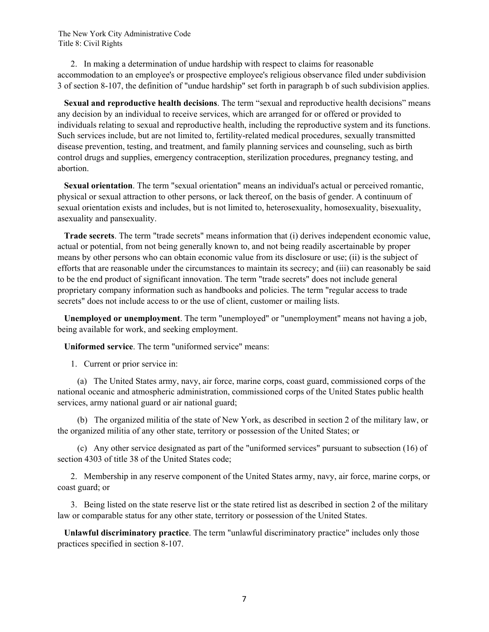2. In making a determination of undue hardship with respect to claims for reasonable accommodation to an employee's or prospective employee's religious observance filed under subdivision 3 of section 8-107, the definition of "undue hardship" set forth in paragraph b of such subdivision applies.

 **Sexual and reproductive health decisions**. The term "sexual and reproductive health decisions" means any decision by an individual to receive services, which are arranged for or offered or provided to individuals relating to sexual and reproductive health, including the reproductive system and its functions. Such services include, but are not limited to, fertility-related medical procedures, sexually transmitted disease prevention, testing, and treatment, and family planning services and counseling, such as birth control drugs and supplies, emergency contraception, sterilization procedures, pregnancy testing, and abortion.

 **Sexual orientation**. The term "sexual orientation" means an individual's actual or perceived romantic, physical or sexual attraction to other persons, or lack thereof, on the basis of gender. A continuum of sexual orientation exists and includes, but is not limited to, heterosexuality, homosexuality, bisexuality, asexuality and pansexuality.

 **Trade secrets**. The term "trade secrets" means information that (i) derives independent economic value, actual or potential, from not being generally known to, and not being readily ascertainable by proper means by other persons who can obtain economic value from its disclosure or use; (ii) is the subject of efforts that are reasonable under the circumstances to maintain its secrecy; and (iii) can reasonably be said to be the end product of significant innovation. The term "trade secrets" does not include general proprietary company information such as handbooks and policies. The term "regular access to trade secrets" does not include access to or the use of client, customer or mailing lists.

 **Unemployed or unemployment**. The term "unemployed" or "unemployment" means not having a job, being available for work, and seeking employment.

**Uniformed service**. The term "uniformed service" means:

1. Current or prior service in:

 (a) The United States army, navy, air force, marine corps, coast guard, commissioned corps of the national oceanic and atmospheric administration, commissioned corps of the United States public health services, army national guard or air national guard;

 (b) The organized militia of the state of New York, as described in section 2 of the military law, or the organized militia of any other state, territory or possession of the United States; or

 (c) Any other service designated as part of the "uniformed services" pursuant to subsection (16) of section 4303 of title 38 of the United States code;

 2. Membership in any reserve component of the United States army, navy, air force, marine corps, or coast guard; or

 3. Being listed on the state reserve list or the state retired list as described in section 2 of the military law or comparable status for any other state, territory or possession of the United States.

 **Unlawful discriminatory practice**. The term "unlawful discriminatory practice" includes only those practices specified in section 8-107.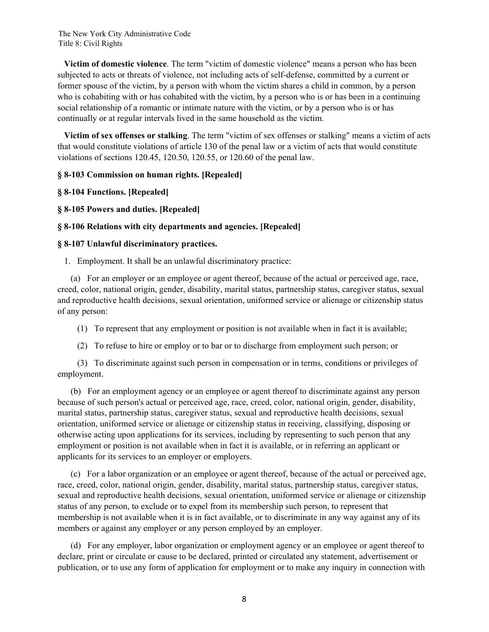**Victim of domestic violence**. The term "victim of domestic violence" means a person who has been subjected to acts or threats of violence, not including acts of self-defense, committed by a current or former spouse of the victim, by a person with whom the victim shares a child in common, by a person who is cohabiting with or has cohabited with the victim, by a person who is or has been in a continuing social relationship of a romantic or intimate nature with the victim, or by a person who is or has continually or at regular intervals lived in the same household as the victim.

 **Victim of sex offenses or stalking**. The term "victim of sex offenses or stalking" means a victim of acts that would constitute violations of article 130 of the penal law or a victim of acts that would constitute violations of sections 120.45, 120.50, 120.55, or 120.60 of the penal law.

## **§ 8-103 Commission on human rights. [Repealed]**

**§ 8-104 Functions. [Repealed]** 

**§ 8-105 Powers and duties. [Repealed]** 

## **§ 8-106 Relations with city departments and agencies. [Repealed]**

#### **§ 8-107 Unlawful discriminatory practices.**

1. Employment. It shall be an unlawful discriminatory practice:

 (a) For an employer or an employee or agent thereof, because of the actual or perceived age, race, creed, color, national origin, gender, disability, marital status, partnership status, caregiver status, sexual and reproductive health decisions, sexual orientation, uniformed service or alienage or citizenship status of any person:

(1) To represent that any employment or position is not available when in fact it is available;

(2) To refuse to hire or employ or to bar or to discharge from employment such person; or

 (3) To discriminate against such person in compensation or in terms, conditions or privileges of employment.

 (b) For an employment agency or an employee or agent thereof to discriminate against any person because of such person's actual or perceived age, race, creed, color, national origin, gender, disability, marital status, partnership status, caregiver status, sexual and reproductive health decisions, sexual orientation, uniformed service or alienage or citizenship status in receiving, classifying, disposing or otherwise acting upon applications for its services, including by representing to such person that any employment or position is not available when in fact it is available, or in referring an applicant or applicants for its services to an employer or employers.

 (c) For a labor organization or an employee or agent thereof, because of the actual or perceived age, race, creed, color, national origin, gender, disability, marital status, partnership status, caregiver status, sexual and reproductive health decisions, sexual orientation, uniformed service or alienage or citizenship status of any person, to exclude or to expel from its membership such person, to represent that membership is not available when it is in fact available, or to discriminate in any way against any of its members or against any employer or any person employed by an employer.

 (d) For any employer, labor organization or employment agency or an employee or agent thereof to declare, print or circulate or cause to be declared, printed or circulated any statement, advertisement or publication, or to use any form of application for employment or to make any inquiry in connection with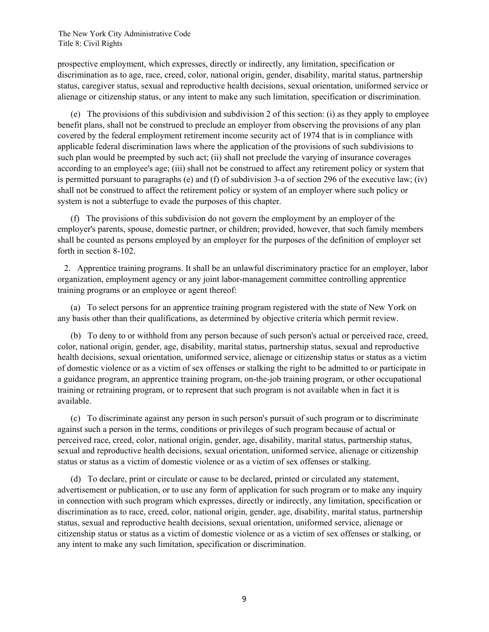prospective employment, which expresses, directly or indirectly, any limitation, specification or discrimination as to age, race, creed, color, national origin, gender, disability, marital status, partnership status, caregiver status, sexual and reproductive health decisions, sexual orientation, uniformed service or alienage or citizenship status, or any intent to make any such limitation, specification or discrimination.

 (e) The provisions of this subdivision and subdivision 2 of this section: (i) as they apply to employee benefit plans, shall not be construed to preclude an employer from observing the provisions of any plan covered by the federal employment retirement income security act of 1974 that is in compliance with applicable federal discrimination laws where the application of the provisions of such subdivisions to such plan would be preempted by such act; (ii) shall not preclude the varying of insurance coverages according to an employee's age; (iii) shall not be construed to affect any retirement policy or system that is permitted pursuant to paragraphs (e) and (f) of subdivision 3-a of section 296 of the executive law; (iv) shall not be construed to affect the retirement policy or system of an employer where such policy or system is not a subterfuge to evade the purposes of this chapter.

 (f) The provisions of this subdivision do not govern the employment by an employer of the employer's parents, spouse, domestic partner, or children; provided, however, that such family members shall be counted as persons employed by an employer for the purposes of the definition of employer set forth in section 8-102.

 2. Apprentice training programs. It shall be an unlawful discriminatory practice for an employer, labor organization, employment agency or any joint labor-management committee controlling apprentice training programs or an employee or agent thereof:

 (a) To select persons for an apprentice training program registered with the state of New York on any basis other than their qualifications, as determined by objective criteria which permit review.

 (b) To deny to or withhold from any person because of such person's actual or perceived race, creed, color, national origin, gender, age, disability, marital status, partnership status, sexual and reproductive health decisions, sexual orientation, uniformed service, alienage or citizenship status or status as a victim of domestic violence or as a victim of sex offenses or stalking the right to be admitted to or participate in a guidance program, an apprentice training program, on-the-job training program, or other occupational training or retraining program, or to represent that such program is not available when in fact it is available.

 (c) To discriminate against any person in such person's pursuit of such program or to discriminate against such a person in the terms, conditions or privileges of such program because of actual or perceived race, creed, color, national origin, gender, age, disability, marital status, partnership status, sexual and reproductive health decisions, sexual orientation, uniformed service, alienage or citizenship status or status as a victim of domestic violence or as a victim of sex offenses or stalking.

 (d) To declare, print or circulate or cause to be declared, printed or circulated any statement, advertisement or publication, or to use any form of application for such program or to make any inquiry in connection with such program which expresses, directly or indirectly, any limitation, specification or discrimination as to race, creed, color, national origin, gender, age, disability, marital status, partnership status, sexual and reproductive health decisions, sexual orientation, uniformed service, alienage or citizenship status or status as a victim of domestic violence or as a victim of sex offenses or stalking, or any intent to make any such limitation, specification or discrimination.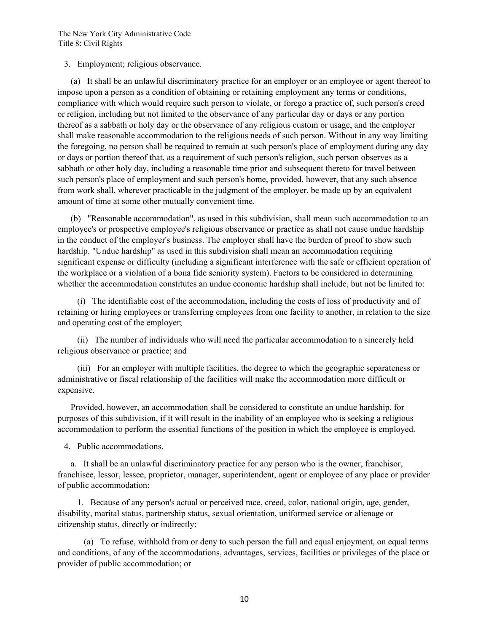3. Employment; religious observance.

 (a) It shall be an unlawful discriminatory practice for an employer or an employee or agent thereof to impose upon a person as a condition of obtaining or retaining employment any terms or conditions, compliance with which would require such person to violate, or forego a practice of, such person's creed or religion, including but not limited to the observance of any particular day or days or any portion thereof as a sabbath or holy day or the observance of any religious custom or usage, and the employer shall make reasonable accommodation to the religious needs of such person. Without in any way limiting the foregoing, no person shall be required to remain at such person's place of employment during any day or days or portion thereof that, as a requirement of such person's religion, such person observes as a sabbath or other holy day, including a reasonable time prior and subsequent thereto for travel between such person's place of employment and such person's home, provided, however, that any such absence from work shall, wherever practicable in the judgment of the employer, be made up by an equivalent amount of time at some other mutually convenient time.

 (b) "Reasonable accommodation", as used in this subdivision, shall mean such accommodation to an employee's or prospective employee's religious observance or practice as shall not cause undue hardship in the conduct of the employer's business. The employer shall have the burden of proof to show such hardship. "Undue hardship" as used in this subdivision shall mean an accommodation requiring significant expense or difficulty (including a significant interference with the safe or efficient operation of the workplace or a violation of a bona fide seniority system). Factors to be considered in determining whether the accommodation constitutes an undue economic hardship shall include, but not be limited to:

 (i) The identifiable cost of the accommodation, including the costs of loss of productivity and of retaining or hiring employees or transferring employees from one facility to another, in relation to the size and operating cost of the employer;

 (ii) The number of individuals who will need the particular accommodation to a sincerely held religious observance or practice; and

 (iii) For an employer with multiple facilities, the degree to which the geographic separateness or administrative or fiscal relationship of the facilities will make the accommodation more difficult or expensive.

 Provided, however, an accommodation shall be considered to constitute an undue hardship, for purposes of this subdivision, if it will result in the inability of an employee who is seeking a religious accommodation to perform the essential functions of the position in which the employee is employed.

4. Public accommodations.

 a. It shall be an unlawful discriminatory practice for any person who is the owner, franchisor, franchisee, lessor, lessee, proprietor, manager, superintendent, agent or employee of any place or provider of public accommodation:

 1. Because of any person's actual or perceived race, creed, color, national origin, age, gender, disability, marital status, partnership status, sexual orientation, uniformed service or alienage or citizenship status, directly or indirectly:

 (a) To refuse, withhold from or deny to such person the full and equal enjoyment, on equal terms and conditions, of any of the accommodations, advantages, services, facilities or privileges of the place or provider of public accommodation; or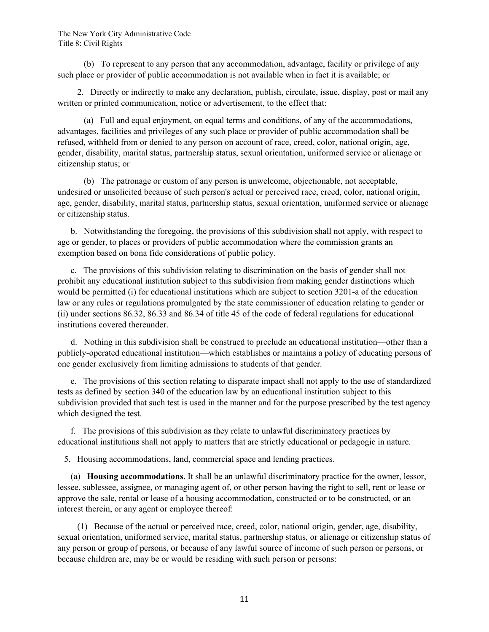(b) To represent to any person that any accommodation, advantage, facility or privilege of any such place or provider of public accommodation is not available when in fact it is available; or

 2. Directly or indirectly to make any declaration, publish, circulate, issue, display, post or mail any written or printed communication, notice or advertisement, to the effect that:

 (a) Full and equal enjoyment, on equal terms and conditions, of any of the accommodations, advantages, facilities and privileges of any such place or provider of public accommodation shall be refused, withheld from or denied to any person on account of race, creed, color, national origin, age, gender, disability, marital status, partnership status, sexual orientation, uniformed service or alienage or citizenship status; or

 (b) The patronage or custom of any person is unwelcome, objectionable, not acceptable, undesired or unsolicited because of such person's actual or perceived race, creed, color, national origin, age, gender, disability, marital status, partnership status, sexual orientation, uniformed service or alienage or citizenship status.

 b. Notwithstanding the foregoing, the provisions of this subdivision shall not apply, with respect to age or gender, to places or providers of public accommodation where the commission grants an exemption based on bona fide considerations of public policy.

 c. The provisions of this subdivision relating to discrimination on the basis of gender shall not prohibit any educational institution subject to this subdivision from making gender distinctions which would be permitted (i) for educational institutions which are subject to section 3201-a of the education law or any rules or regulations promulgated by the state commissioner of education relating to gender or (ii) under sections 86.32, 86.33 and 86.34 of title 45 of the code of federal regulations for educational institutions covered thereunder.

 d. Nothing in this subdivision shall be construed to preclude an educational institution—other than a publicly-operated educational institution—which establishes or maintains a policy of educating persons of one gender exclusively from limiting admissions to students of that gender.

 e. The provisions of this section relating to disparate impact shall not apply to the use of standardized tests as defined by section 340 of the education law by an educational institution subject to this subdivision provided that such test is used in the manner and for the purpose prescribed by the test agency which designed the test.

 f. The provisions of this subdivision as they relate to unlawful discriminatory practices by educational institutions shall not apply to matters that are strictly educational or pedagogic in nature.

5. Housing accommodations, land, commercial space and lending practices.

 (a) **Housing accommodations**. It shall be an unlawful discriminatory practice for the owner, lessor, lessee, sublessee, assignee, or managing agent of, or other person having the right to sell, rent or lease or approve the sale, rental or lease of a housing accommodation, constructed or to be constructed, or an interest therein, or any agent or employee thereof:

 (1) Because of the actual or perceived race, creed, color, national origin, gender, age, disability, sexual orientation, uniformed service, marital status, partnership status, or alienage or citizenship status of any person or group of persons, or because of any lawful source of income of such person or persons, or because children are, may be or would be residing with such person or persons: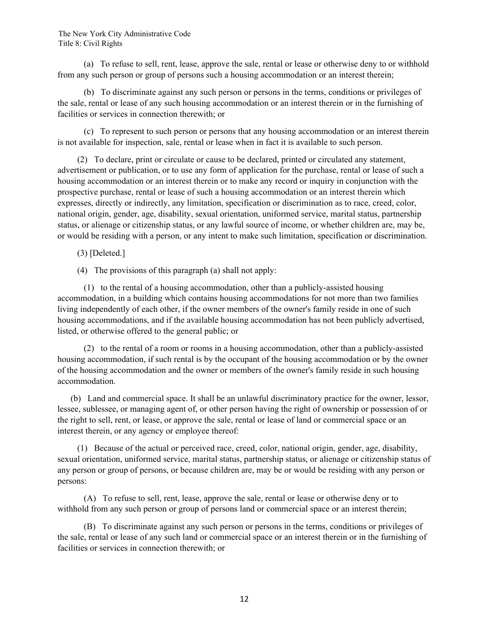(a) To refuse to sell, rent, lease, approve the sale, rental or lease or otherwise deny to or withhold from any such person or group of persons such a housing accommodation or an interest therein;

 (b) To discriminate against any such person or persons in the terms, conditions or privileges of the sale, rental or lease of any such housing accommodation or an interest therein or in the furnishing of facilities or services in connection therewith; or

 (c) To represent to such person or persons that any housing accommodation or an interest therein is not available for inspection, sale, rental or lease when in fact it is available to such person.

 (2) To declare, print or circulate or cause to be declared, printed or circulated any statement, advertisement or publication, or to use any form of application for the purchase, rental or lease of such a housing accommodation or an interest therein or to make any record or inquiry in conjunction with the prospective purchase, rental or lease of such a housing accommodation or an interest therein which expresses, directly or indirectly, any limitation, specification or discrimination as to race, creed, color, national origin, gender, age, disability, sexual orientation, uniformed service, marital status, partnership status, or alienage or citizenship status, or any lawful source of income, or whether children are, may be, or would be residing with a person, or any intent to make such limitation, specification or discrimination.

(3) [Deleted.]

(4) The provisions of this paragraph (a) shall not apply:

 (1) to the rental of a housing accommodation, other than a publicly-assisted housing accommodation, in a building which contains housing accommodations for not more than two families living independently of each other, if the owner members of the owner's family reside in one of such housing accommodations, and if the available housing accommodation has not been publicly advertised, listed, or otherwise offered to the general public; or

 (2) to the rental of a room or rooms in a housing accommodation, other than a publicly-assisted housing accommodation, if such rental is by the occupant of the housing accommodation or by the owner of the housing accommodation and the owner or members of the owner's family reside in such housing accommodation.

 (b) Land and commercial space. It shall be an unlawful discriminatory practice for the owner, lessor, lessee, sublessee, or managing agent of, or other person having the right of ownership or possession of or the right to sell, rent, or lease, or approve the sale, rental or lease of land or commercial space or an interest therein, or any agency or employee thereof:

 (1) Because of the actual or perceived race, creed, color, national origin, gender, age, disability, sexual orientation, uniformed service, marital status, partnership status, or alienage or citizenship status of any person or group of persons, or because children are, may be or would be residing with any person or persons:

 (A) To refuse to sell, rent, lease, approve the sale, rental or lease or otherwise deny or to withhold from any such person or group of persons land or commercial space or an interest therein;

 (B) To discriminate against any such person or persons in the terms, conditions or privileges of the sale, rental or lease of any such land or commercial space or an interest therein or in the furnishing of facilities or services in connection therewith; or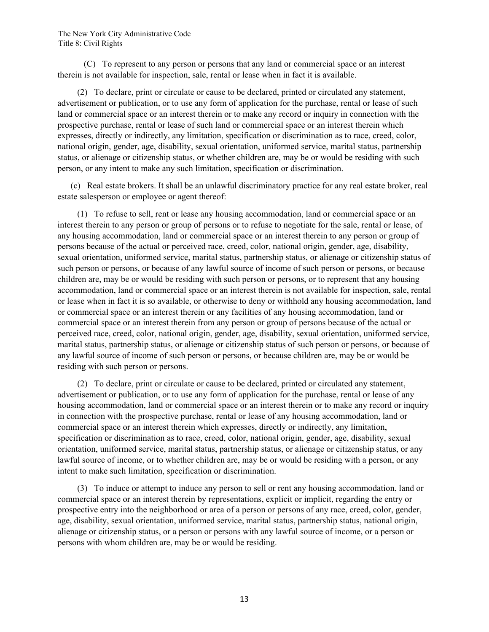(C) To represent to any person or persons that any land or commercial space or an interest therein is not available for inspection, sale, rental or lease when in fact it is available.

 (2) To declare, print or circulate or cause to be declared, printed or circulated any statement, advertisement or publication, or to use any form of application for the purchase, rental or lease of such land or commercial space or an interest therein or to make any record or inquiry in connection with the prospective purchase, rental or lease of such land or commercial space or an interest therein which expresses, directly or indirectly, any limitation, specification or discrimination as to race, creed, color, national origin, gender, age, disability, sexual orientation, uniformed service, marital status, partnership status, or alienage or citizenship status, or whether children are, may be or would be residing with such person, or any intent to make any such limitation, specification or discrimination.

 (c) Real estate brokers. It shall be an unlawful discriminatory practice for any real estate broker, real estate salesperson or employee or agent thereof:

 (1) To refuse to sell, rent or lease any housing accommodation, land or commercial space or an interest therein to any person or group of persons or to refuse to negotiate for the sale, rental or lease, of any housing accommodation, land or commercial space or an interest therein to any person or group of persons because of the actual or perceived race, creed, color, national origin, gender, age, disability, sexual orientation, uniformed service, marital status, partnership status, or alienage or citizenship status of such person or persons, or because of any lawful source of income of such person or persons, or because children are, may be or would be residing with such person or persons, or to represent that any housing accommodation, land or commercial space or an interest therein is not available for inspection, sale, rental or lease when in fact it is so available, or otherwise to deny or withhold any housing accommodation, land or commercial space or an interest therein or any facilities of any housing accommodation, land or commercial space or an interest therein from any person or group of persons because of the actual or perceived race, creed, color, national origin, gender, age, disability, sexual orientation, uniformed service, marital status, partnership status, or alienage or citizenship status of such person or persons, or because of any lawful source of income of such person or persons, or because children are, may be or would be residing with such person or persons.

 (2) To declare, print or circulate or cause to be declared, printed or circulated any statement, advertisement or publication, or to use any form of application for the purchase, rental or lease of any housing accommodation, land or commercial space or an interest therein or to make any record or inquiry in connection with the prospective purchase, rental or lease of any housing accommodation, land or commercial space or an interest therein which expresses, directly or indirectly, any limitation, specification or discrimination as to race, creed, color, national origin, gender, age, disability, sexual orientation, uniformed service, marital status, partnership status, or alienage or citizenship status, or any lawful source of income, or to whether children are, may be or would be residing with a person, or any intent to make such limitation, specification or discrimination.

 (3) To induce or attempt to induce any person to sell or rent any housing accommodation, land or commercial space or an interest therein by representations, explicit or implicit, regarding the entry or prospective entry into the neighborhood or area of a person or persons of any race, creed, color, gender, age, disability, sexual orientation, uniformed service, marital status, partnership status, national origin, alienage or citizenship status, or a person or persons with any lawful source of income, or a person or persons with whom children are, may be or would be residing.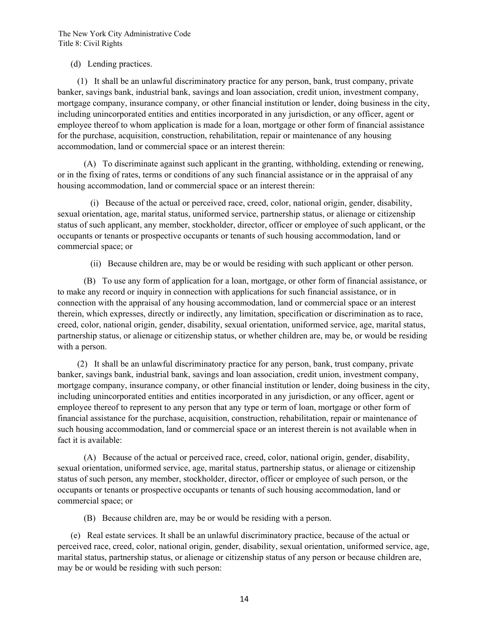## (d) Lending practices.

 (1) It shall be an unlawful discriminatory practice for any person, bank, trust company, private banker, savings bank, industrial bank, savings and loan association, credit union, investment company, mortgage company, insurance company, or other financial institution or lender, doing business in the city, including unincorporated entities and entities incorporated in any jurisdiction, or any officer, agent or employee thereof to whom application is made for a loan, mortgage or other form of financial assistance for the purchase, acquisition, construction, rehabilitation, repair or maintenance of any housing accommodation, land or commercial space or an interest therein:

 (A) To discriminate against such applicant in the granting, withholding, extending or renewing, or in the fixing of rates, terms or conditions of any such financial assistance or in the appraisal of any housing accommodation, land or commercial space or an interest therein:

 (i) Because of the actual or perceived race, creed, color, national origin, gender, disability, sexual orientation, age, marital status, uniformed service, partnership status, or alienage or citizenship status of such applicant, any member, stockholder, director, officer or employee of such applicant, or the occupants or tenants or prospective occupants or tenants of such housing accommodation, land or commercial space; or

(ii) Because children are, may be or would be residing with such applicant or other person.

 (B) To use any form of application for a loan, mortgage, or other form of financial assistance, or to make any record or inquiry in connection with applications for such financial assistance, or in connection with the appraisal of any housing accommodation, land or commercial space or an interest therein, which expresses, directly or indirectly, any limitation, specification or discrimination as to race, creed, color, national origin, gender, disability, sexual orientation, uniformed service, age, marital status, partnership status, or alienage or citizenship status, or whether children are, may be, or would be residing with a person.

 (2) It shall be an unlawful discriminatory practice for any person, bank, trust company, private banker, savings bank, industrial bank, savings and loan association, credit union, investment company, mortgage company, insurance company, or other financial institution or lender, doing business in the city, including unincorporated entities and entities incorporated in any jurisdiction, or any officer, agent or employee thereof to represent to any person that any type or term of loan, mortgage or other form of financial assistance for the purchase, acquisition, construction, rehabilitation, repair or maintenance of such housing accommodation, land or commercial space or an interest therein is not available when in fact it is available:

 (A) Because of the actual or perceived race, creed, color, national origin, gender, disability, sexual orientation, uniformed service, age, marital status, partnership status, or alienage or citizenship status of such person, any member, stockholder, director, officer or employee of such person, or the occupants or tenants or prospective occupants or tenants of such housing accommodation, land or commercial space; or

(B) Because children are, may be or would be residing with a person.

 (e) Real estate services. It shall be an unlawful discriminatory practice, because of the actual or perceived race, creed, color, national origin, gender, disability, sexual orientation, uniformed service, age, marital status, partnership status, or alienage or citizenship status of any person or because children are, may be or would be residing with such person: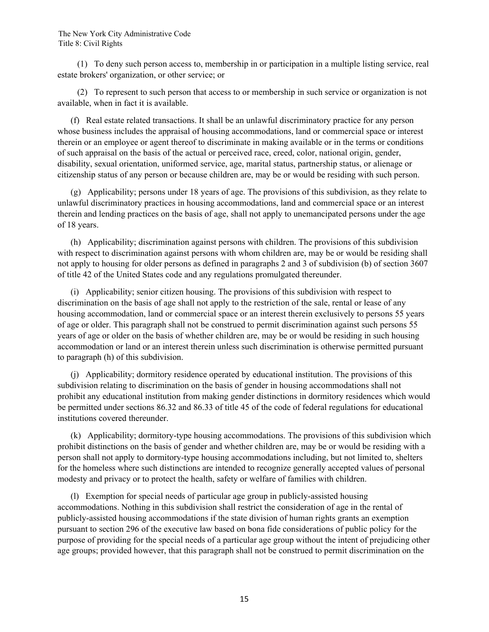(1) To deny such person access to, membership in or participation in a multiple listing service, real estate brokers' organization, or other service; or

 (2) To represent to such person that access to or membership in such service or organization is not available, when in fact it is available.

 (f) Real estate related transactions. It shall be an unlawful discriminatory practice for any person whose business includes the appraisal of housing accommodations, land or commercial space or interest therein or an employee or agent thereof to discriminate in making available or in the terms or conditions of such appraisal on the basis of the actual or perceived race, creed, color, national origin, gender, disability, sexual orientation, uniformed service, age, marital status, partnership status, or alienage or citizenship status of any person or because children are, may be or would be residing with such person.

 (g) Applicability; persons under 18 years of age. The provisions of this subdivision, as they relate to unlawful discriminatory practices in housing accommodations, land and commercial space or an interest therein and lending practices on the basis of age, shall not apply to unemancipated persons under the age of 18 years.

 (h) Applicability; discrimination against persons with children. The provisions of this subdivision with respect to discrimination against persons with whom children are, may be or would be residing shall not apply to housing for older persons as defined in paragraphs 2 and 3 of subdivision (b) of section 3607 of title 42 of the United States code and any regulations promulgated thereunder.

 (i) Applicability; senior citizen housing. The provisions of this subdivision with respect to discrimination on the basis of age shall not apply to the restriction of the sale, rental or lease of any housing accommodation, land or commercial space or an interest therein exclusively to persons 55 years of age or older. This paragraph shall not be construed to permit discrimination against such persons 55 years of age or older on the basis of whether children are, may be or would be residing in such housing accommodation or land or an interest therein unless such discrimination is otherwise permitted pursuant to paragraph (h) of this subdivision.

 (j) Applicability; dormitory residence operated by educational institution. The provisions of this subdivision relating to discrimination on the basis of gender in housing accommodations shall not prohibit any educational institution from making gender distinctions in dormitory residences which would be permitted under sections 86.32 and 86.33 of title 45 of the code of federal regulations for educational institutions covered thereunder.

 (k) Applicability; dormitory-type housing accommodations. The provisions of this subdivision which prohibit distinctions on the basis of gender and whether children are, may be or would be residing with a person shall not apply to dormitory-type housing accommodations including, but not limited to, shelters for the homeless where such distinctions are intended to recognize generally accepted values of personal modesty and privacy or to protect the health, safety or welfare of families with children.

 (l) Exemption for special needs of particular age group in publicly-assisted housing accommodations. Nothing in this subdivision shall restrict the consideration of age in the rental of publicly-assisted housing accommodations if the state division of human rights grants an exemption pursuant to section 296 of the executive law based on bona fide considerations of public policy for the purpose of providing for the special needs of a particular age group without the intent of prejudicing other age groups; provided however, that this paragraph shall not be construed to permit discrimination on the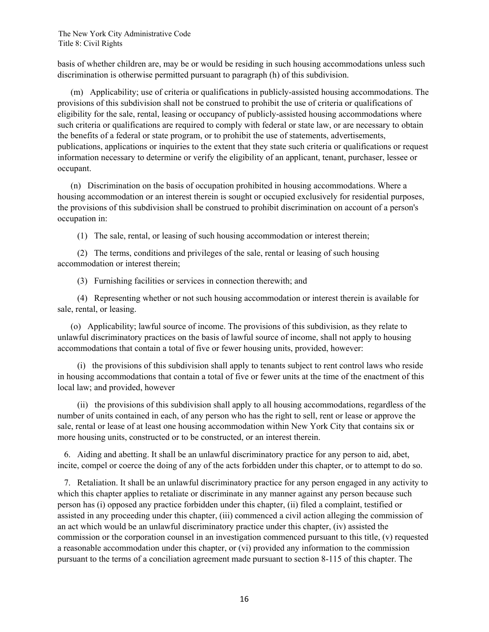basis of whether children are, may be or would be residing in such housing accommodations unless such discrimination is otherwise permitted pursuant to paragraph (h) of this subdivision.

 (m) Applicability; use of criteria or qualifications in publicly-assisted housing accommodations. The provisions of this subdivision shall not be construed to prohibit the use of criteria or qualifications of eligibility for the sale, rental, leasing or occupancy of publicly-assisted housing accommodations where such criteria or qualifications are required to comply with federal or state law, or are necessary to obtain the benefits of a federal or state program, or to prohibit the use of statements, advertisements, publications, applications or inquiries to the extent that they state such criteria or qualifications or request information necessary to determine or verify the eligibility of an applicant, tenant, purchaser, lessee or occupant.

 (n) Discrimination on the basis of occupation prohibited in housing accommodations. Where a housing accommodation or an interest therein is sought or occupied exclusively for residential purposes, the provisions of this subdivision shall be construed to prohibit discrimination on account of a person's occupation in:

(1) The sale, rental, or leasing of such housing accommodation or interest therein;

 (2) The terms, conditions and privileges of the sale, rental or leasing of such housing accommodation or interest therein;

(3) Furnishing facilities or services in connection therewith; and

 (4) Representing whether or not such housing accommodation or interest therein is available for sale, rental, or leasing.

 (o) Applicability; lawful source of income. The provisions of this subdivision, as they relate to unlawful discriminatory practices on the basis of lawful source of income, shall not apply to housing accommodations that contain a total of five or fewer housing units, provided, however:

 (i) the provisions of this subdivision shall apply to tenants subject to rent control laws who reside in housing accommodations that contain a total of five or fewer units at the time of the enactment of this local law; and provided, however

 (ii) the provisions of this subdivision shall apply to all housing accommodations, regardless of the number of units contained in each, of any person who has the right to sell, rent or lease or approve the sale, rental or lease of at least one housing accommodation within New York City that contains six or more housing units, constructed or to be constructed, or an interest therein.

 6. Aiding and abetting. It shall be an unlawful discriminatory practice for any person to aid, abet, incite, compel or coerce the doing of any of the acts forbidden under this chapter, or to attempt to do so.

 7. Retaliation. It shall be an unlawful discriminatory practice for any person engaged in any activity to which this chapter applies to retaliate or discriminate in any manner against any person because such person has (i) opposed any practice forbidden under this chapter, (ii) filed a complaint, testified or assisted in any proceeding under this chapter, (iii) commenced a civil action alleging the commission of an act which would be an unlawful discriminatory practice under this chapter, (iv) assisted the commission or the corporation counsel in an investigation commenced pursuant to this title, (v) requested a reasonable accommodation under this chapter, or (vi) provided any information to the commission pursuant to the terms of a conciliation agreement made pursuant to section 8-115 of this chapter. The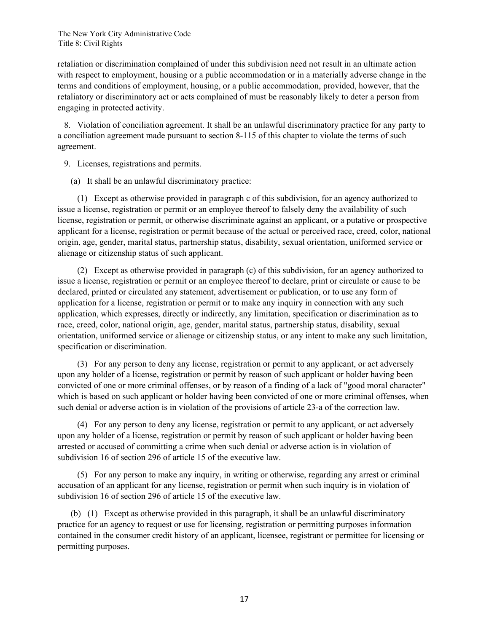retaliation or discrimination complained of under this subdivision need not result in an ultimate action with respect to employment, housing or a public accommodation or in a materially adverse change in the terms and conditions of employment, housing, or a public accommodation, provided, however, that the retaliatory or discriminatory act or acts complained of must be reasonably likely to deter a person from engaging in protected activity.

 8. Violation of conciliation agreement. It shall be an unlawful discriminatory practice for any party to a conciliation agreement made pursuant to section 8-115 of this chapter to violate the terms of such agreement.

9. Licenses, registrations and permits.

(a) It shall be an unlawful discriminatory practice:

 (1) Except as otherwise provided in paragraph c of this subdivision, for an agency authorized to issue a license, registration or permit or an employee thereof to falsely deny the availability of such license, registration or permit, or otherwise discriminate against an applicant, or a putative or prospective applicant for a license, registration or permit because of the actual or perceived race, creed, color, national origin, age, gender, marital status, partnership status, disability, sexual orientation, uniformed service or alienage or citizenship status of such applicant.

 (2) Except as otherwise provided in paragraph (c) of this subdivision, for an agency authorized to issue a license, registration or permit or an employee thereof to declare, print or circulate or cause to be declared, printed or circulated any statement, advertisement or publication, or to use any form of application for a license, registration or permit or to make any inquiry in connection with any such application, which expresses, directly or indirectly, any limitation, specification or discrimination as to race, creed, color, national origin, age, gender, marital status, partnership status, disability, sexual orientation, uniformed service or alienage or citizenship status, or any intent to make any such limitation, specification or discrimination.

 (3) For any person to deny any license, registration or permit to any applicant, or act adversely upon any holder of a license, registration or permit by reason of such applicant or holder having been convicted of one or more criminal offenses, or by reason of a finding of a lack of "good moral character" which is based on such applicant or holder having been convicted of one or more criminal offenses, when such denial or adverse action is in violation of the provisions of article 23-a of the correction law.

 (4) For any person to deny any license, registration or permit to any applicant, or act adversely upon any holder of a license, registration or permit by reason of such applicant or holder having been arrested or accused of committing a crime when such denial or adverse action is in violation of subdivision 16 of section 296 of article 15 of the executive law.

 (5) For any person to make any inquiry, in writing or otherwise, regarding any arrest or criminal accusation of an applicant for any license, registration or permit when such inquiry is in violation of subdivision 16 of section 296 of article 15 of the executive law.

 (b) (1) Except as otherwise provided in this paragraph, it shall be an unlawful discriminatory practice for an agency to request or use for licensing, registration or permitting purposes information contained in the consumer credit history of an applicant, licensee, registrant or permittee for licensing or permitting purposes.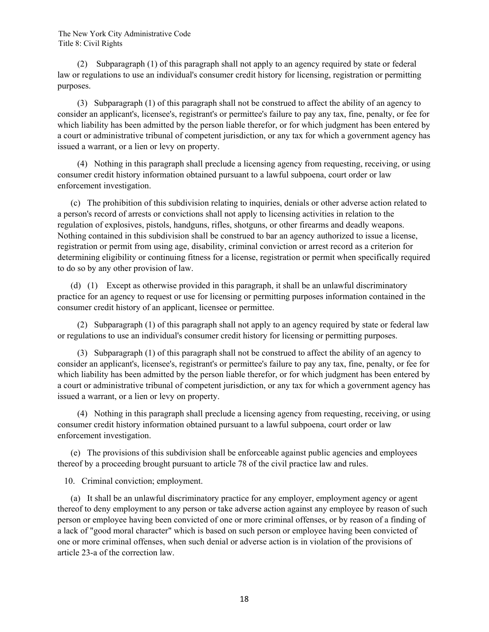(2) Subparagraph (1) of this paragraph shall not apply to an agency required by state or federal law or regulations to use an individual's consumer credit history for licensing, registration or permitting purposes.

 (3) Subparagraph (1) of this paragraph shall not be construed to affect the ability of an agency to consider an applicant's, licensee's, registrant's or permittee's failure to pay any tax, fine, penalty, or fee for which liability has been admitted by the person liable therefor, or for which judgment has been entered by a court or administrative tribunal of competent jurisdiction, or any tax for which a government agency has issued a warrant, or a lien or levy on property.

 (4) Nothing in this paragraph shall preclude a licensing agency from requesting, receiving, or using consumer credit history information obtained pursuant to a lawful subpoena, court order or law enforcement investigation.

 (c) The prohibition of this subdivision relating to inquiries, denials or other adverse action related to a person's record of arrests or convictions shall not apply to licensing activities in relation to the regulation of explosives, pistols, handguns, rifles, shotguns, or other firearms and deadly weapons. Nothing contained in this subdivision shall be construed to bar an agency authorized to issue a license, registration or permit from using age, disability, criminal conviction or arrest record as a criterion for determining eligibility or continuing fitness for a license, registration or permit when specifically required to do so by any other provision of law.

 (d) (1) Except as otherwise provided in this paragraph, it shall be an unlawful discriminatory practice for an agency to request or use for licensing or permitting purposes information contained in the consumer credit history of an applicant, licensee or permittee.

 (2) Subparagraph (1) of this paragraph shall not apply to an agency required by state or federal law or regulations to use an individual's consumer credit history for licensing or permitting purposes.

 (3) Subparagraph (1) of this paragraph shall not be construed to affect the ability of an agency to consider an applicant's, licensee's, registrant's or permittee's failure to pay any tax, fine, penalty, or fee for which liability has been admitted by the person liable therefor, or for which judgment has been entered by a court or administrative tribunal of competent jurisdiction, or any tax for which a government agency has issued a warrant, or a lien or levy on property.

 (4) Nothing in this paragraph shall preclude a licensing agency from requesting, receiving, or using consumer credit history information obtained pursuant to a lawful subpoena, court order or law enforcement investigation.

 (e) The provisions of this subdivision shall be enforceable against public agencies and employees thereof by a proceeding brought pursuant to article 78 of the civil practice law and rules.

10. Criminal conviction; employment.

 (a) It shall be an unlawful discriminatory practice for any employer, employment agency or agent thereof to deny employment to any person or take adverse action against any employee by reason of such person or employee having been convicted of one or more criminal offenses, or by reason of a finding of a lack of "good moral character" which is based on such person or employee having been convicted of one or more criminal offenses, when such denial or adverse action is in violation of the provisions of article 23-a of the correction law.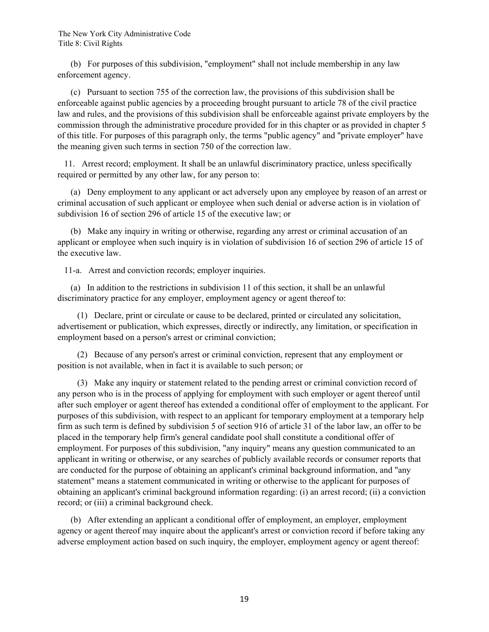(b) For purposes of this subdivision, "employment" shall not include membership in any law enforcement agency.

 (c) Pursuant to section 755 of the correction law, the provisions of this subdivision shall be enforceable against public agencies by a proceeding brought pursuant to article 78 of the civil practice law and rules, and the provisions of this subdivision shall be enforceable against private employers by the commission through the administrative procedure provided for in this chapter or as provided in chapter 5 of this title. For purposes of this paragraph only, the terms "public agency" and "private employer" have the meaning given such terms in section 750 of the correction law.

 11. Arrest record; employment. It shall be an unlawful discriminatory practice, unless specifically required or permitted by any other law, for any person to:

 (a) Deny employment to any applicant or act adversely upon any employee by reason of an arrest or criminal accusation of such applicant or employee when such denial or adverse action is in violation of subdivision 16 of section 296 of article 15 of the executive law; or

 (b) Make any inquiry in writing or otherwise, regarding any arrest or criminal accusation of an applicant or employee when such inquiry is in violation of subdivision 16 of section 296 of article 15 of the executive law.

11-a. Arrest and conviction records; employer inquiries.

 (a) In addition to the restrictions in subdivision 11 of this section, it shall be an unlawful discriminatory practice for any employer, employment agency or agent thereof to:

 (1) Declare, print or circulate or cause to be declared, printed or circulated any solicitation, advertisement or publication, which expresses, directly or indirectly, any limitation, or specification in employment based on a person's arrest or criminal conviction;

 (2) Because of any person's arrest or criminal conviction, represent that any employment or position is not available, when in fact it is available to such person; or

 (3) Make any inquiry or statement related to the pending arrest or criminal conviction record of any person who is in the process of applying for employment with such employer or agent thereof until after such employer or agent thereof has extended a conditional offer of employment to the applicant. For purposes of this subdivision, with respect to an applicant for temporary employment at a temporary help firm as such term is defined by subdivision 5 of section 916 of article 31 of the labor law, an offer to be placed in the temporary help firm's general candidate pool shall constitute a conditional offer of employment. For purposes of this subdivision, "any inquiry" means any question communicated to an applicant in writing or otherwise, or any searches of publicly available records or consumer reports that are conducted for the purpose of obtaining an applicant's criminal background information, and "any statement" means a statement communicated in writing or otherwise to the applicant for purposes of obtaining an applicant's criminal background information regarding: (i) an arrest record; (ii) a conviction record; or (iii) a criminal background check.

 (b) After extending an applicant a conditional offer of employment, an employer, employment agency or agent thereof may inquire about the applicant's arrest or conviction record if before taking any adverse employment action based on such inquiry, the employer, employment agency or agent thereof: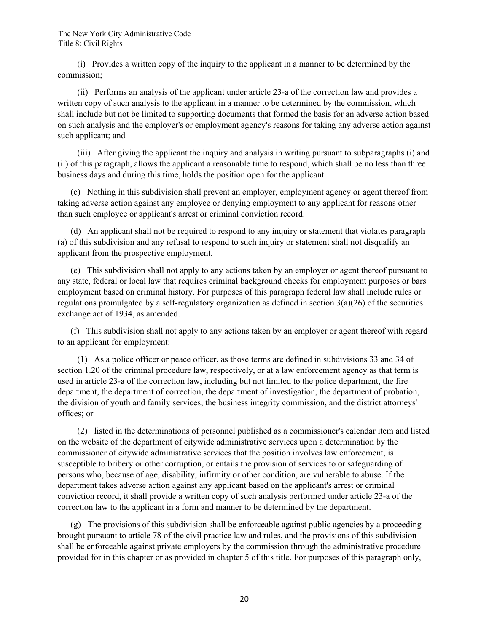(i) Provides a written copy of the inquiry to the applicant in a manner to be determined by the commission;

 (ii) Performs an analysis of the applicant under article 23-a of the correction law and provides a written copy of such analysis to the applicant in a manner to be determined by the commission, which shall include but not be limited to supporting documents that formed the basis for an adverse action based on such analysis and the employer's or employment agency's reasons for taking any adverse action against such applicant; and

 (iii) After giving the applicant the inquiry and analysis in writing pursuant to subparagraphs (i) and (ii) of this paragraph, allows the applicant a reasonable time to respond, which shall be no less than three business days and during this time, holds the position open for the applicant.

 (c) Nothing in this subdivision shall prevent an employer, employment agency or agent thereof from taking adverse action against any employee or denying employment to any applicant for reasons other than such employee or applicant's arrest or criminal conviction record.

 (d) An applicant shall not be required to respond to any inquiry or statement that violates paragraph (a) of this subdivision and any refusal to respond to such inquiry or statement shall not disqualify an applicant from the prospective employment.

 (e) This subdivision shall not apply to any actions taken by an employer or agent thereof pursuant to any state, federal or local law that requires criminal background checks for employment purposes or bars employment based on criminal history. For purposes of this paragraph federal law shall include rules or regulations promulgated by a self-regulatory organization as defined in section 3(a)(26) of the securities exchange act of 1934, as amended.

 (f) This subdivision shall not apply to any actions taken by an employer or agent thereof with regard to an applicant for employment:

 (1) As a police officer or peace officer, as those terms are defined in subdivisions 33 and 34 of section 1.20 of the criminal procedure law, respectively, or at a law enforcement agency as that term is used in article 23-a of the correction law, including but not limited to the police department, the fire department, the department of correction, the department of investigation, the department of probation, the division of youth and family services, the business integrity commission, and the district attorneys' offices; or

 (2) listed in the determinations of personnel published as a commissioner's calendar item and listed on the website of the department of citywide administrative services upon a determination by the commissioner of citywide administrative services that the position involves law enforcement, is susceptible to bribery or other corruption, or entails the provision of services to or safeguarding of persons who, because of age, disability, infirmity or other condition, are vulnerable to abuse. If the department takes adverse action against any applicant based on the applicant's arrest or criminal conviction record, it shall provide a written copy of such analysis performed under article 23-a of the correction law to the applicant in a form and manner to be determined by the department.

 $(g)$  The provisions of this subdivision shall be enforceable against public agencies by a proceeding brought pursuant to article 78 of the civil practice law and rules, and the provisions of this subdivision shall be enforceable against private employers by the commission through the administrative procedure provided for in this chapter or as provided in chapter 5 of this title. For purposes of this paragraph only,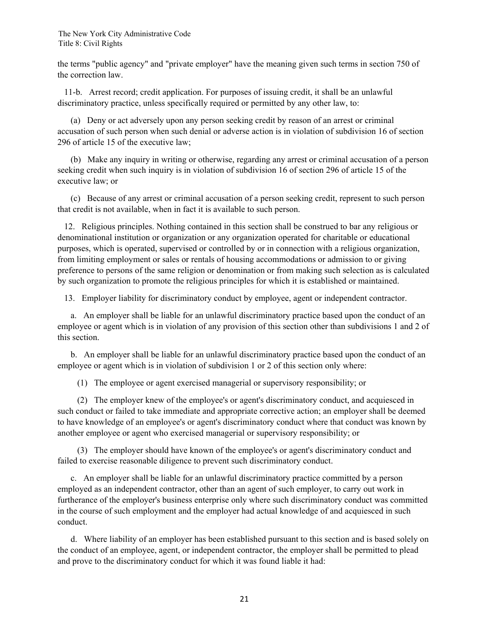the terms "public agency" and "private employer" have the meaning given such terms in section 750 of the correction law.

 11-b. Arrest record; credit application. For purposes of issuing credit, it shall be an unlawful discriminatory practice, unless specifically required or permitted by any other law, to:

 (a) Deny or act adversely upon any person seeking credit by reason of an arrest or criminal accusation of such person when such denial or adverse action is in violation of subdivision 16 of section 296 of article 15 of the executive law;

 (b) Make any inquiry in writing or otherwise, regarding any arrest or criminal accusation of a person seeking credit when such inquiry is in violation of subdivision 16 of section 296 of article 15 of the executive law; or

 (c) Because of any arrest or criminal accusation of a person seeking credit, represent to such person that credit is not available, when in fact it is available to such person.

 12. Religious principles. Nothing contained in this section shall be construed to bar any religious or denominational institution or organization or any organization operated for charitable or educational purposes, which is operated, supervised or controlled by or in connection with a religious organization, from limiting employment or sales or rentals of housing accommodations or admission to or giving preference to persons of the same religion or denomination or from making such selection as is calculated by such organization to promote the religious principles for which it is established or maintained.

13. Employer liability for discriminatory conduct by employee, agent or independent contractor.

 a. An employer shall be liable for an unlawful discriminatory practice based upon the conduct of an employee or agent which is in violation of any provision of this section other than subdivisions 1 and 2 of this section.

 b. An employer shall be liable for an unlawful discriminatory practice based upon the conduct of an employee or agent which is in violation of subdivision 1 or 2 of this section only where:

(1) The employee or agent exercised managerial or supervisory responsibility; or

 (2) The employer knew of the employee's or agent's discriminatory conduct, and acquiesced in such conduct or failed to take immediate and appropriate corrective action; an employer shall be deemed to have knowledge of an employee's or agent's discriminatory conduct where that conduct was known by another employee or agent who exercised managerial or supervisory responsibility; or

 (3) The employer should have known of the employee's or agent's discriminatory conduct and failed to exercise reasonable diligence to prevent such discriminatory conduct.

 c. An employer shall be liable for an unlawful discriminatory practice committed by a person employed as an independent contractor, other than an agent of such employer, to carry out work in furtherance of the employer's business enterprise only where such discriminatory conduct was committed in the course of such employment and the employer had actual knowledge of and acquiesced in such conduct.

 d. Where liability of an employer has been established pursuant to this section and is based solely on the conduct of an employee, agent, or independent contractor, the employer shall be permitted to plead and prove to the discriminatory conduct for which it was found liable it had: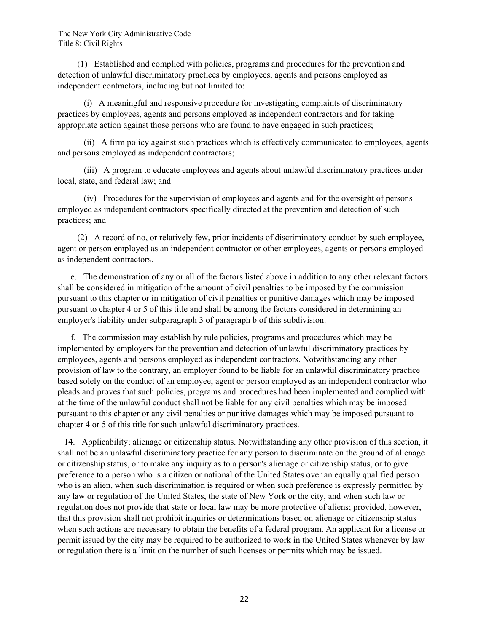(1) Established and complied with policies, programs and procedures for the prevention and detection of unlawful discriminatory practices by employees, agents and persons employed as independent contractors, including but not limited to:

 (i) A meaningful and responsive procedure for investigating complaints of discriminatory practices by employees, agents and persons employed as independent contractors and for taking appropriate action against those persons who are found to have engaged in such practices;

 (ii) A firm policy against such practices which is effectively communicated to employees, agents and persons employed as independent contractors;

 (iii) A program to educate employees and agents about unlawful discriminatory practices under local, state, and federal law; and

 (iv) Procedures for the supervision of employees and agents and for the oversight of persons employed as independent contractors specifically directed at the prevention and detection of such practices; and

 (2) A record of no, or relatively few, prior incidents of discriminatory conduct by such employee, agent or person employed as an independent contractor or other employees, agents or persons employed as independent contractors.

 e. The demonstration of any or all of the factors listed above in addition to any other relevant factors shall be considered in mitigation of the amount of civil penalties to be imposed by the commission pursuant to this chapter or in mitigation of civil penalties or punitive damages which may be imposed pursuant to chapter 4 or 5 of this title and shall be among the factors considered in determining an employer's liability under subparagraph 3 of paragraph b of this subdivision.

 f. The commission may establish by rule policies, programs and procedures which may be implemented by employers for the prevention and detection of unlawful discriminatory practices by employees, agents and persons employed as independent contractors. Notwithstanding any other provision of law to the contrary, an employer found to be liable for an unlawful discriminatory practice based solely on the conduct of an employee, agent or person employed as an independent contractor who pleads and proves that such policies, programs and procedures had been implemented and complied with at the time of the unlawful conduct shall not be liable for any civil penalties which may be imposed pursuant to this chapter or any civil penalties or punitive damages which may be imposed pursuant to chapter 4 or 5 of this title for such unlawful discriminatory practices.

 14. Applicability; alienage or citizenship status. Notwithstanding any other provision of this section, it shall not be an unlawful discriminatory practice for any person to discriminate on the ground of alienage or citizenship status, or to make any inquiry as to a person's alienage or citizenship status, or to give preference to a person who is a citizen or national of the United States over an equally qualified person who is an alien, when such discrimination is required or when such preference is expressly permitted by any law or regulation of the United States, the state of New York or the city, and when such law or regulation does not provide that state or local law may be more protective of aliens; provided, however, that this provision shall not prohibit inquiries or determinations based on alienage or citizenship status when such actions are necessary to obtain the benefits of a federal program. An applicant for a license or permit issued by the city may be required to be authorized to work in the United States whenever by law or regulation there is a limit on the number of such licenses or permits which may be issued.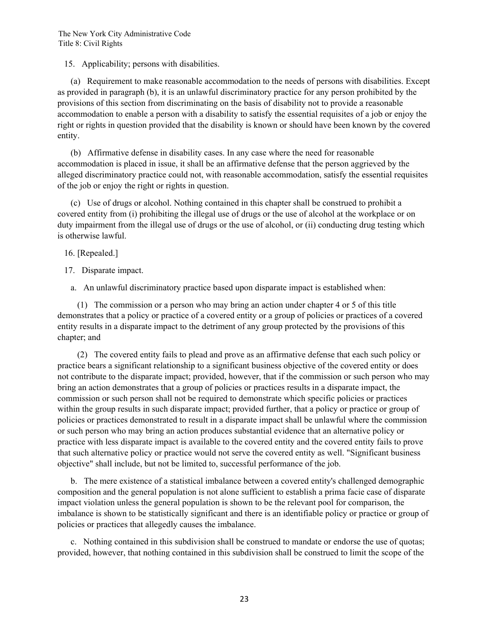15. Applicability; persons with disabilities.

 (a) Requirement to make reasonable accommodation to the needs of persons with disabilities. Except as provided in paragraph (b), it is an unlawful discriminatory practice for any person prohibited by the provisions of this section from discriminating on the basis of disability not to provide a reasonable accommodation to enable a person with a disability to satisfy the essential requisites of a job or enjoy the right or rights in question provided that the disability is known or should have been known by the covered entity.

 (b) Affirmative defense in disability cases. In any case where the need for reasonable accommodation is placed in issue, it shall be an affirmative defense that the person aggrieved by the alleged discriminatory practice could not, with reasonable accommodation, satisfy the essential requisites of the job or enjoy the right or rights in question.

 (c) Use of drugs or alcohol. Nothing contained in this chapter shall be construed to prohibit a covered entity from (i) prohibiting the illegal use of drugs or the use of alcohol at the workplace or on duty impairment from the illegal use of drugs or the use of alcohol, or (ii) conducting drug testing which is otherwise lawful.

16. [Repealed.]

17. Disparate impact.

a. An unlawful discriminatory practice based upon disparate impact is established when:

 (1) The commission or a person who may bring an action under chapter 4 or 5 of this title demonstrates that a policy or practice of a covered entity or a group of policies or practices of a covered entity results in a disparate impact to the detriment of any group protected by the provisions of this chapter; and

 (2) The covered entity fails to plead and prove as an affirmative defense that each such policy or practice bears a significant relationship to a significant business objective of the covered entity or does not contribute to the disparate impact; provided, however, that if the commission or such person who may bring an action demonstrates that a group of policies or practices results in a disparate impact, the commission or such person shall not be required to demonstrate which specific policies or practices within the group results in such disparate impact; provided further, that a policy or practice or group of policies or practices demonstrated to result in a disparate impact shall be unlawful where the commission or such person who may bring an action produces substantial evidence that an alternative policy or practice with less disparate impact is available to the covered entity and the covered entity fails to prove that such alternative policy or practice would not serve the covered entity as well. "Significant business objective" shall include, but not be limited to, successful performance of the job.

 b. The mere existence of a statistical imbalance between a covered entity's challenged demographic composition and the general population is not alone sufficient to establish a prima facie case of disparate impact violation unless the general population is shown to be the relevant pool for comparison, the imbalance is shown to be statistically significant and there is an identifiable policy or practice or group of policies or practices that allegedly causes the imbalance.

 c. Nothing contained in this subdivision shall be construed to mandate or endorse the use of quotas; provided, however, that nothing contained in this subdivision shall be construed to limit the scope of the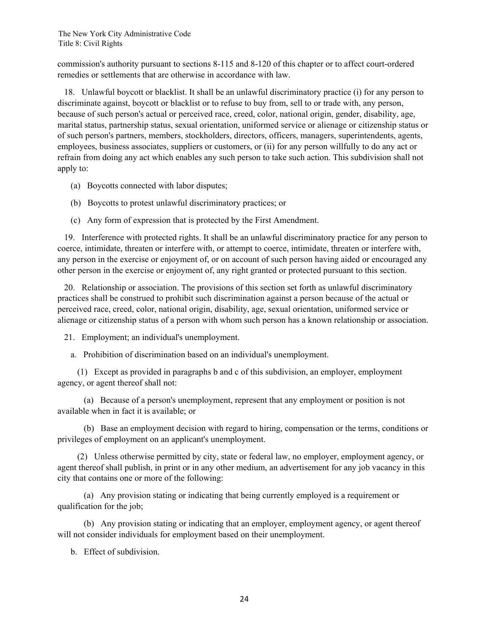commission's authority pursuant to sections 8-115 and 8-120 of this chapter or to affect court-ordered remedies or settlements that are otherwise in accordance with law.

 18. Unlawful boycott or blacklist. It shall be an unlawful discriminatory practice (i) for any person to discriminate against, boycott or blacklist or to refuse to buy from, sell to or trade with, any person, because of such person's actual or perceived race, creed, color, national origin, gender, disability, age, marital status, partnership status, sexual orientation, uniformed service or alienage or citizenship status or of such person's partners, members, stockholders, directors, officers, managers, superintendents, agents, employees, business associates, suppliers or customers, or (ii) for any person willfully to do any act or refrain from doing any act which enables any such person to take such action. This subdivision shall not apply to:

- (a) Boycotts connected with labor disputes;
- (b) Boycotts to protest unlawful discriminatory practices; or
- (c) Any form of expression that is protected by the First Amendment.

 19. Interference with protected rights. It shall be an unlawful discriminatory practice for any person to coerce, intimidate, threaten or interfere with, or attempt to coerce, intimidate, threaten or interfere with, any person in the exercise or enjoyment of, or on account of such person having aided or encouraged any other person in the exercise or enjoyment of, any right granted or protected pursuant to this section.

 20. Relationship or association. The provisions of this section set forth as unlawful discriminatory practices shall be construed to prohibit such discrimination against a person because of the actual or perceived race, creed, color, national origin, disability, age, sexual orientation, uniformed service or alienage or citizenship status of a person with whom such person has a known relationship or association.

21. Employment; an individual's unemployment.

a. Prohibition of discrimination based on an individual's unemployment.

 (1) Except as provided in paragraphs b and c of this subdivision, an employer, employment agency, or agent thereof shall not:

 (a) Because of a person's unemployment, represent that any employment or position is not available when in fact it is available; or

 (b) Base an employment decision with regard to hiring, compensation or the terms, conditions or privileges of employment on an applicant's unemployment.

 (2) Unless otherwise permitted by city, state or federal law, no employer, employment agency, or agent thereof shall publish, in print or in any other medium, an advertisement for any job vacancy in this city that contains one or more of the following:

 (a) Any provision stating or indicating that being currently employed is a requirement or qualification for the job;

 (b) Any provision stating or indicating that an employer, employment agency, or agent thereof will not consider individuals for employment based on their unemployment.

b. Effect of subdivision.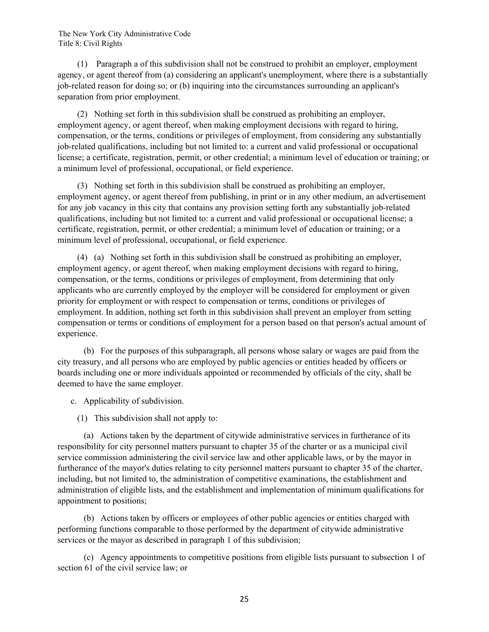(1) Paragraph a of this subdivision shall not be construed to prohibit an employer, employment agency, or agent thereof from (a) considering an applicant's unemployment, where there is a substantially job-related reason for doing so; or (b) inquiring into the circumstances surrounding an applicant's separation from prior employment.

 (2) Nothing set forth in this subdivision shall be construed as prohibiting an employer, employment agency, or agent thereof, when making employment decisions with regard to hiring, compensation, or the terms, conditions or privileges of employment, from considering any substantially job-related qualifications, including but not limited to: a current and valid professional or occupational license; a certificate, registration, permit, or other credential; a minimum level of education or training; or a minimum level of professional, occupational, or field experience.

 (3) Nothing set forth in this subdivision shall be construed as prohibiting an employer, employment agency, or agent thereof from publishing, in print or in any other medium, an advertisement for any job vacancy in this city that contains any provision setting forth any substantially job-related qualifications, including but not limited to: a current and valid professional or occupational license; a certificate, registration, permit, or other credential; a minimum level of education or training; or a minimum level of professional, occupational, or field experience.

 (4) (a) Nothing set forth in this subdivision shall be construed as prohibiting an employer, employment agency, or agent thereof, when making employment decisions with regard to hiring, compensation, or the terms, conditions or privileges of employment, from determining that only applicants who are currently employed by the employer will be considered for employment or given priority for employment or with respect to compensation or terms, conditions or privileges of employment. In addition, nothing set forth in this subdivision shall prevent an employer from setting compensation or terms or conditions of employment for a person based on that person's actual amount of experience.

 (b) For the purposes of this subparagraph, all persons whose salary or wages are paid from the city treasury, and all persons who are employed by public agencies or entities headed by officers or boards including one or more individuals appointed or recommended by officials of the city, shall be deemed to have the same employer.

c. Applicability of subdivision.

(1) This subdivision shall not apply to:

 (a) Actions taken by the department of citywide administrative services in furtherance of its responsibility for city personnel matters pursuant to chapter 35 of the charter or as a municipal civil service commission administering the civil service law and other applicable laws, or by the mayor in furtherance of the mayor's duties relating to city personnel matters pursuant to chapter 35 of the charter, including, but not limited to, the administration of competitive examinations, the establishment and administration of eligible lists, and the establishment and implementation of minimum qualifications for appointment to positions;

 (b) Actions taken by officers or employees of other public agencies or entities charged with performing functions comparable to those performed by the department of citywide administrative services or the mayor as described in paragraph 1 of this subdivision;

 (c) Agency appointments to competitive positions from eligible lists pursuant to subsection 1 of section 61 of the civil service law; or

25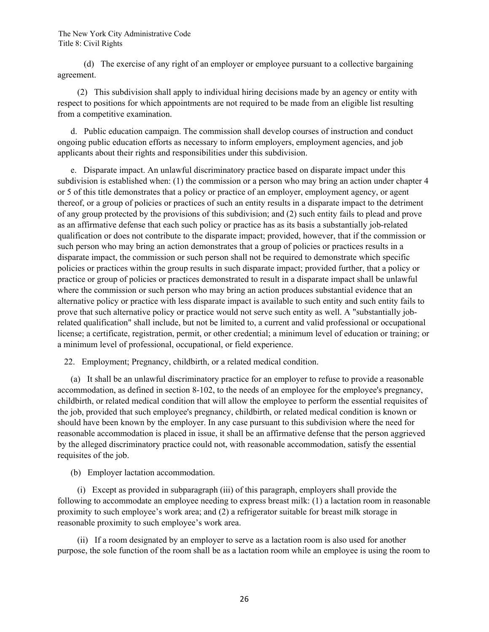(d) The exercise of any right of an employer or employee pursuant to a collective bargaining agreement.

 (2) This subdivision shall apply to individual hiring decisions made by an agency or entity with respect to positions for which appointments are not required to be made from an eligible list resulting from a competitive examination.

 d. Public education campaign. The commission shall develop courses of instruction and conduct ongoing public education efforts as necessary to inform employers, employment agencies, and job applicants about their rights and responsibilities under this subdivision.

 e. Disparate impact. An unlawful discriminatory practice based on disparate impact under this subdivision is established when: (1) the commission or a person who may bring an action under chapter 4 or 5 of this title demonstrates that a policy or practice of an employer, employment agency, or agent thereof, or a group of policies or practices of such an entity results in a disparate impact to the detriment of any group protected by the provisions of this subdivision; and (2) such entity fails to plead and prove as an affirmative defense that each such policy or practice has as its basis a substantially job-related qualification or does not contribute to the disparate impact; provided, however, that if the commission or such person who may bring an action demonstrates that a group of policies or practices results in a disparate impact, the commission or such person shall not be required to demonstrate which specific policies or practices within the group results in such disparate impact; provided further, that a policy or practice or group of policies or practices demonstrated to result in a disparate impact shall be unlawful where the commission or such person who may bring an action produces substantial evidence that an alternative policy or practice with less disparate impact is available to such entity and such entity fails to prove that such alternative policy or practice would not serve such entity as well. A "substantially jobrelated qualification" shall include, but not be limited to, a current and valid professional or occupational license; a certificate, registration, permit, or other credential; a minimum level of education or training; or a minimum level of professional, occupational, or field experience.

22. Employment; Pregnancy, childbirth, or a related medical condition.

 (a) It shall be an unlawful discriminatory practice for an employer to refuse to provide a reasonable accommodation, as defined in section 8-102, to the needs of an employee for the employee's pregnancy, childbirth, or related medical condition that will allow the employee to perform the essential requisites of the job, provided that such employee's pregnancy, childbirth, or related medical condition is known or should have been known by the employer. In any case pursuant to this subdivision where the need for reasonable accommodation is placed in issue, it shall be an affirmative defense that the person aggrieved by the alleged discriminatory practice could not, with reasonable accommodation, satisfy the essential requisites of the job.

(b) Employer lactation accommodation.

 (i) Except as provided in subparagraph (iii) of this paragraph, employers shall provide the following to accommodate an employee needing to express breast milk: (1) a lactation room in reasonable proximity to such employee's work area; and (2) a refrigerator suitable for breast milk storage in reasonable proximity to such employee's work area.

 (ii) If a room designated by an employer to serve as a lactation room is also used for another purpose, the sole function of the room shall be as a lactation room while an employee is using the room to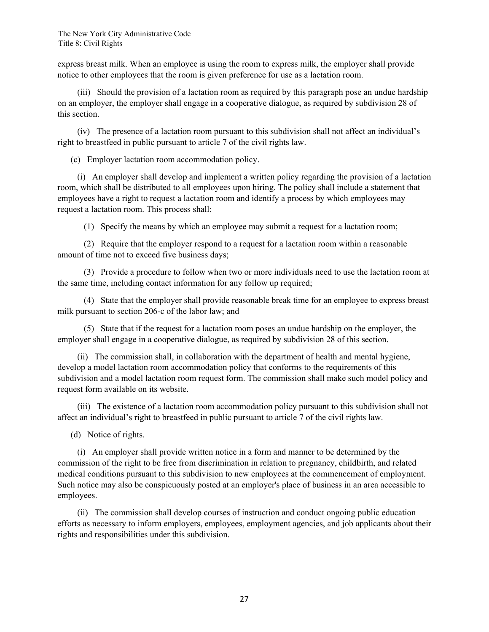express breast milk. When an employee is using the room to express milk, the employer shall provide notice to other employees that the room is given preference for use as a lactation room.

 (iii) Should the provision of a lactation room as required by this paragraph pose an undue hardship on an employer, the employer shall engage in a cooperative dialogue, as required by subdivision 28 of this section.

 (iv) The presence of a lactation room pursuant to this subdivision shall not affect an individual's right to breastfeed in public pursuant to article 7 of the civil rights law.

(c) Employer lactation room accommodation policy.

 (i) An employer shall develop and implement a written policy regarding the provision of a lactation room, which shall be distributed to all employees upon hiring. The policy shall include a statement that employees have a right to request a lactation room and identify a process by which employees may request a lactation room. This process shall:

(1) Specify the means by which an employee may submit a request for a lactation room;

 (2) Require that the employer respond to a request for a lactation room within a reasonable amount of time not to exceed five business days;

 (3) Provide a procedure to follow when two or more individuals need to use the lactation room at the same time, including contact information for any follow up required;

 (4) State that the employer shall provide reasonable break time for an employee to express breast milk pursuant to section 206-c of the labor law; and

 (5) State that if the request for a lactation room poses an undue hardship on the employer, the employer shall engage in a cooperative dialogue, as required by subdivision 28 of this section.

 (ii) The commission shall, in collaboration with the department of health and mental hygiene, develop a model lactation room accommodation policy that conforms to the requirements of this subdivision and a model lactation room request form. The commission shall make such model policy and request form available on its website.

 (iii) The existence of a lactation room accommodation policy pursuant to this subdivision shall not affect an individual's right to breastfeed in public pursuant to article 7 of the civil rights law.

(d) Notice of rights.

 (i) An employer shall provide written notice in a form and manner to be determined by the commission of the right to be free from discrimination in relation to pregnancy, childbirth, and related medical conditions pursuant to this subdivision to new employees at the commencement of employment. Such notice may also be conspicuously posted at an employer's place of business in an area accessible to employees.

 (ii) The commission shall develop courses of instruction and conduct ongoing public education efforts as necessary to inform employers, employees, employment agencies, and job applicants about their rights and responsibilities under this subdivision.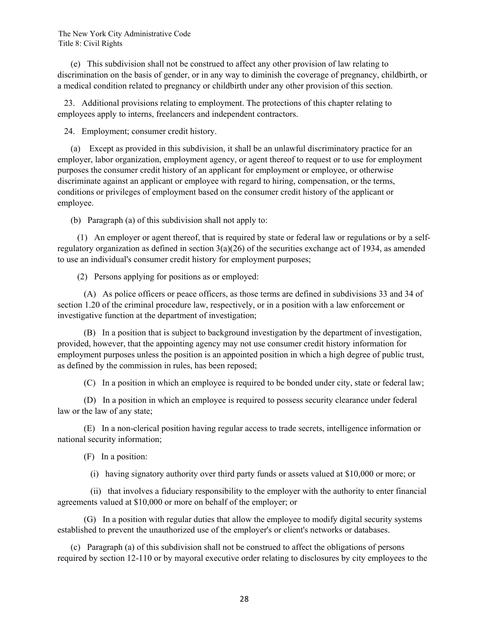(e) This subdivision shall not be construed to affect any other provision of law relating to discrimination on the basis of gender, or in any way to diminish the coverage of pregnancy, childbirth, or a medical condition related to pregnancy or childbirth under any other provision of this section.

 23. Additional provisions relating to employment. The protections of this chapter relating to employees apply to interns, freelancers and independent contractors.

24. Employment; consumer credit history.

 (a) Except as provided in this subdivision, it shall be an unlawful discriminatory practice for an employer, labor organization, employment agency, or agent thereof to request or to use for employment purposes the consumer credit history of an applicant for employment or employee, or otherwise discriminate against an applicant or employee with regard to hiring, compensation, or the terms, conditions or privileges of employment based on the consumer credit history of the applicant or employee.

(b) Paragraph (a) of this subdivision shall not apply to:

 (1) An employer or agent thereof, that is required by state or federal law or regulations or by a selfregulatory organization as defined in section 3(a)(26) of the securities exchange act of 1934, as amended to use an individual's consumer credit history for employment purposes;

(2) Persons applying for positions as or employed:

 (A) As police officers or peace officers, as those terms are defined in subdivisions 33 and 34 of section 1.20 of the criminal procedure law, respectively, or in a position with a law enforcement or investigative function at the department of investigation;

 (B) In a position that is subject to background investigation by the department of investigation, provided, however, that the appointing agency may not use consumer credit history information for employment purposes unless the position is an appointed position in which a high degree of public trust, as defined by the commission in rules, has been reposed;

(C) In a position in which an employee is required to be bonded under city, state or federal law;

 (D) In a position in which an employee is required to possess security clearance under federal law or the law of any state;

 (E) In a non-clerical position having regular access to trade secrets, intelligence information or national security information;

(F) In a position:

(i) having signatory authority over third party funds or assets valued at \$10,000 or more; or

 (ii) that involves a fiduciary responsibility to the employer with the authority to enter financial agreements valued at \$10,000 or more on behalf of the employer; or

 (G) In a position with regular duties that allow the employee to modify digital security systems established to prevent the unauthorized use of the employer's or client's networks or databases.

 (c) Paragraph (a) of this subdivision shall not be construed to affect the obligations of persons required by section 12-110 or by mayoral executive order relating to disclosures by city employees to the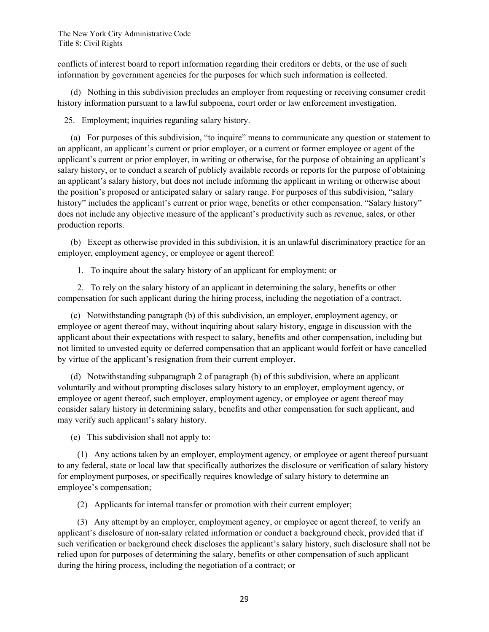conflicts of interest board to report information regarding their creditors or debts, or the use of such information by government agencies for the purposes for which such information is collected.

 (d) Nothing in this subdivision precludes an employer from requesting or receiving consumer credit history information pursuant to a lawful subpoena, court order or law enforcement investigation.

25. Employment; inquiries regarding salary history.

 (a) For purposes of this subdivision, "to inquire" means to communicate any question or statement to an applicant, an applicant's current or prior employer, or a current or former employee or agent of the applicant's current or prior employer, in writing or otherwise, for the purpose of obtaining an applicant's salary history, or to conduct a search of publicly available records or reports for the purpose of obtaining an applicant's salary history, but does not include informing the applicant in writing or otherwise about the position's proposed or anticipated salary or salary range. For purposes of this subdivision, "salary history" includes the applicant's current or prior wage, benefits or other compensation. "Salary history" does not include any objective measure of the applicant's productivity such as revenue, sales, or other production reports.

 (b) Except as otherwise provided in this subdivision, it is an unlawful discriminatory practice for an employer, employment agency, or employee or agent thereof:

1. To inquire about the salary history of an applicant for employment; or

 2. To rely on the salary history of an applicant in determining the salary, benefits or other compensation for such applicant during the hiring process, including the negotiation of a contract.

 (c) Notwithstanding paragraph (b) of this subdivision, an employer, employment agency, or employee or agent thereof may, without inquiring about salary history, engage in discussion with the applicant about their expectations with respect to salary, benefits and other compensation, including but not limited to unvested equity or deferred compensation that an applicant would forfeit or have cancelled by virtue of the applicant's resignation from their current employer.

 (d) Notwithstanding subparagraph 2 of paragraph (b) of this subdivision, where an applicant voluntarily and without prompting discloses salary history to an employer, employment agency, or employee or agent thereof, such employer, employment agency, or employee or agent thereof may consider salary history in determining salary, benefits and other compensation for such applicant, and may verify such applicant's salary history.

(e) This subdivision shall not apply to:

 (1) Any actions taken by an employer, employment agency, or employee or agent thereof pursuant to any federal, state or local law that specifically authorizes the disclosure or verification of salary history for employment purposes, or specifically requires knowledge of salary history to determine an employee's compensation;

(2) Applicants for internal transfer or promotion with their current employer;

 (3) Any attempt by an employer, employment agency, or employee or agent thereof, to verify an applicant's disclosure of non-salary related information or conduct a background check, provided that if such verification or background check discloses the applicant's salary history, such disclosure shall not be relied upon for purposes of determining the salary, benefits or other compensation of such applicant during the hiring process, including the negotiation of a contract; or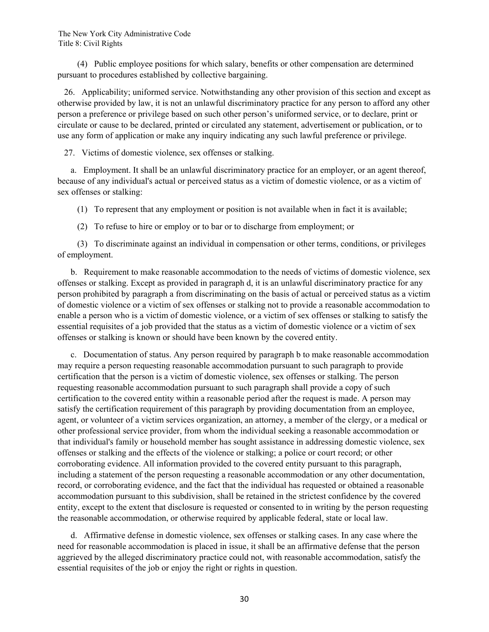(4) Public employee positions for which salary, benefits or other compensation are determined pursuant to procedures established by collective bargaining.

 26. Applicability; uniformed service. Notwithstanding any other provision of this section and except as otherwise provided by law, it is not an unlawful discriminatory practice for any person to afford any other person a preference or privilege based on such other person's uniformed service, or to declare, print or circulate or cause to be declared, printed or circulated any statement, advertisement or publication, or to use any form of application or make any inquiry indicating any such lawful preference or privilege.

27. Victims of domestic violence, sex offenses or stalking.

 a. Employment. It shall be an unlawful discriminatory practice for an employer, or an agent thereof, because of any individual's actual or perceived status as a victim of domestic violence, or as a victim of sex offenses or stalking:

(1) To represent that any employment or position is not available when in fact it is available;

(2) To refuse to hire or employ or to bar or to discharge from employment; or

 (3) To discriminate against an individual in compensation or other terms, conditions, or privileges of employment.

 b. Requirement to make reasonable accommodation to the needs of victims of domestic violence, sex offenses or stalking. Except as provided in paragraph d, it is an unlawful discriminatory practice for any person prohibited by paragraph a from discriminating on the basis of actual or perceived status as a victim of domestic violence or a victim of sex offenses or stalking not to provide a reasonable accommodation to enable a person who is a victim of domestic violence, or a victim of sex offenses or stalking to satisfy the essential requisites of a job provided that the status as a victim of domestic violence or a victim of sex offenses or stalking is known or should have been known by the covered entity.

 c. Documentation of status. Any person required by paragraph b to make reasonable accommodation may require a person requesting reasonable accommodation pursuant to such paragraph to provide certification that the person is a victim of domestic violence, sex offenses or stalking. The person requesting reasonable accommodation pursuant to such paragraph shall provide a copy of such certification to the covered entity within a reasonable period after the request is made. A person may satisfy the certification requirement of this paragraph by providing documentation from an employee, agent, or volunteer of a victim services organization, an attorney, a member of the clergy, or a medical or other professional service provider, from whom the individual seeking a reasonable accommodation or that individual's family or household member has sought assistance in addressing domestic violence, sex offenses or stalking and the effects of the violence or stalking; a police or court record; or other corroborating evidence. All information provided to the covered entity pursuant to this paragraph, including a statement of the person requesting a reasonable accommodation or any other documentation, record, or corroborating evidence, and the fact that the individual has requested or obtained a reasonable accommodation pursuant to this subdivision, shall be retained in the strictest confidence by the covered entity, except to the extent that disclosure is requested or consented to in writing by the person requesting the reasonable accommodation, or otherwise required by applicable federal, state or local law.

 d. Affirmative defense in domestic violence, sex offenses or stalking cases. In any case where the need for reasonable accommodation is placed in issue, it shall be an affirmative defense that the person aggrieved by the alleged discriminatory practice could not, with reasonable accommodation, satisfy the essential requisites of the job or enjoy the right or rights in question.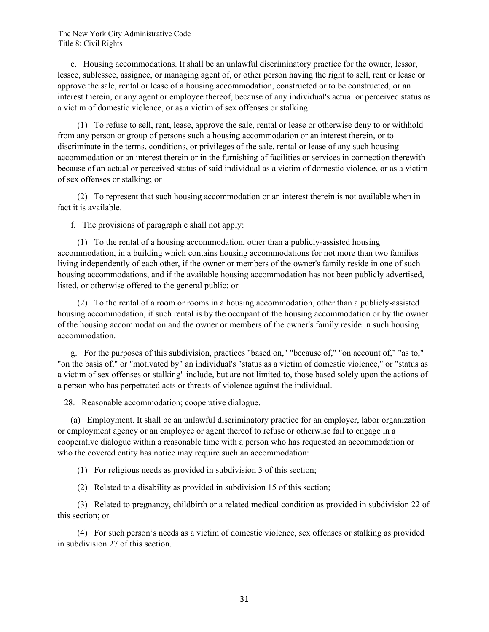e. Housing accommodations. It shall be an unlawful discriminatory practice for the owner, lessor, lessee, sublessee, assignee, or managing agent of, or other person having the right to sell, rent or lease or approve the sale, rental or lease of a housing accommodation, constructed or to be constructed, or an interest therein, or any agent or employee thereof, because of any individual's actual or perceived status as a victim of domestic violence, or as a victim of sex offenses or stalking:

 (1) To refuse to sell, rent, lease, approve the sale, rental or lease or otherwise deny to or withhold from any person or group of persons such a housing accommodation or an interest therein, or to discriminate in the terms, conditions, or privileges of the sale, rental or lease of any such housing accommodation or an interest therein or in the furnishing of facilities or services in connection therewith because of an actual or perceived status of said individual as a victim of domestic violence, or as a victim of sex offenses or stalking; or

 (2) To represent that such housing accommodation or an interest therein is not available when in fact it is available.

f. The provisions of paragraph e shall not apply:

 (1) To the rental of a housing accommodation, other than a publicly-assisted housing accommodation, in a building which contains housing accommodations for not more than two families living independently of each other, if the owner or members of the owner's family reside in one of such housing accommodations, and if the available housing accommodation has not been publicly advertised, listed, or otherwise offered to the general public; or

 (2) To the rental of a room or rooms in a housing accommodation, other than a publicly-assisted housing accommodation, if such rental is by the occupant of the housing accommodation or by the owner of the housing accommodation and the owner or members of the owner's family reside in such housing accommodation.

 g. For the purposes of this subdivision, practices "based on," "because of," "on account of," "as to," "on the basis of," or "motivated by" an individual's "status as a victim of domestic violence," or "status as a victim of sex offenses or stalking" include, but are not limited to, those based solely upon the actions of a person who has perpetrated acts or threats of violence against the individual.

28. Reasonable accommodation; cooperative dialogue.

 (a) Employment. It shall be an unlawful discriminatory practice for an employer, labor organization or employment agency or an employee or agent thereof to refuse or otherwise fail to engage in a cooperative dialogue within a reasonable time with a person who has requested an accommodation or who the covered entity has notice may require such an accommodation:

(1) For religious needs as provided in subdivision 3 of this section;

(2) Related to a disability as provided in subdivision 15 of this section;

 (3) Related to pregnancy, childbirth or a related medical condition as provided in subdivision 22 of this section; or

 (4) For such person's needs as a victim of domestic violence, sex offenses or stalking as provided in subdivision 27 of this section.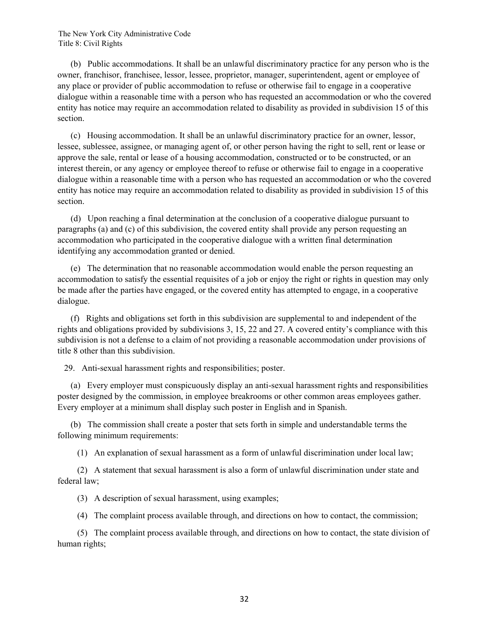(b) Public accommodations. It shall be an unlawful discriminatory practice for any person who is the owner, franchisor, franchisee, lessor, lessee, proprietor, manager, superintendent, agent or employee of any place or provider of public accommodation to refuse or otherwise fail to engage in a cooperative dialogue within a reasonable time with a person who has requested an accommodation or who the covered entity has notice may require an accommodation related to disability as provided in subdivision 15 of this section.

 (c) Housing accommodation. It shall be an unlawful discriminatory practice for an owner, lessor, lessee, sublessee, assignee, or managing agent of, or other person having the right to sell, rent or lease or approve the sale, rental or lease of a housing accommodation, constructed or to be constructed, or an interest therein, or any agency or employee thereof to refuse or otherwise fail to engage in a cooperative dialogue within a reasonable time with a person who has requested an accommodation or who the covered entity has notice may require an accommodation related to disability as provided in subdivision 15 of this section.

 (d) Upon reaching a final determination at the conclusion of a cooperative dialogue pursuant to paragraphs (a) and (c) of this subdivision, the covered entity shall provide any person requesting an accommodation who participated in the cooperative dialogue with a written final determination identifying any accommodation granted or denied.

 (e) The determination that no reasonable accommodation would enable the person requesting an accommodation to satisfy the essential requisites of a job or enjoy the right or rights in question may only be made after the parties have engaged, or the covered entity has attempted to engage, in a cooperative dialogue.

 (f) Rights and obligations set forth in this subdivision are supplemental to and independent of the rights and obligations provided by subdivisions 3, 15, 22 and 27. A covered entity's compliance with this subdivision is not a defense to a claim of not providing a reasonable accommodation under provisions of title 8 other than this subdivision.

29. Anti-sexual harassment rights and responsibilities; poster.

 (a) Every employer must conspicuously display an anti-sexual harassment rights and responsibilities poster designed by the commission, in employee breakrooms or other common areas employees gather. Every employer at a minimum shall display such poster in English and in Spanish.

 (b) The commission shall create a poster that sets forth in simple and understandable terms the following minimum requirements:

(1) An explanation of sexual harassment as a form of unlawful discrimination under local law;

 (2) A statement that sexual harassment is also a form of unlawful discrimination under state and federal law;

(3) A description of sexual harassment, using examples;

(4) The complaint process available through, and directions on how to contact, the commission;

 (5) The complaint process available through, and directions on how to contact, the state division of human rights;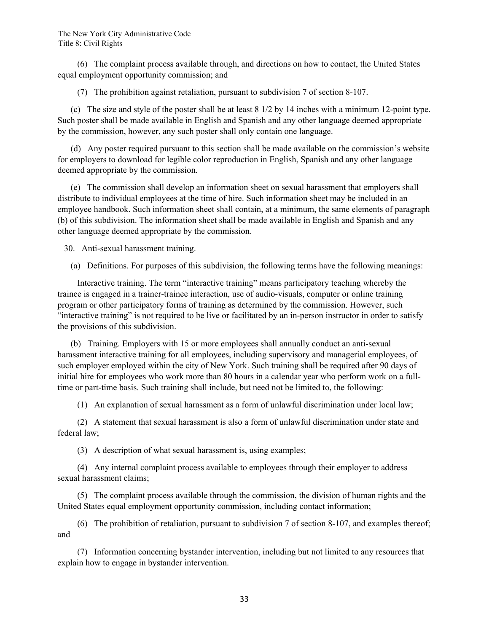(6) The complaint process available through, and directions on how to contact, the United States equal employment opportunity commission; and

(7) The prohibition against retaliation, pursuant to subdivision 7 of section 8-107.

 (c) The size and style of the poster shall be at least 8 1/2 by 14 inches with a minimum 12-point type. Such poster shall be made available in English and Spanish and any other language deemed appropriate by the commission, however, any such poster shall only contain one language.

 (d) Any poster required pursuant to this section shall be made available on the commission's website for employers to download for legible color reproduction in English, Spanish and any other language deemed appropriate by the commission.

 (e) The commission shall develop an information sheet on sexual harassment that employers shall distribute to individual employees at the time of hire. Such information sheet may be included in an employee handbook. Such information sheet shall contain, at a minimum, the same elements of paragraph (b) of this subdivision. The information sheet shall be made available in English and Spanish and any other language deemed appropriate by the commission.

30. Anti-sexual harassment training.

(a) Definitions. For purposes of this subdivision, the following terms have the following meanings:

 Interactive training. The term "interactive training" means participatory teaching whereby the trainee is engaged in a trainer-trainee interaction, use of audio-visuals, computer or online training program or other participatory forms of training as determined by the commission. However, such "interactive training" is not required to be live or facilitated by an in-person instructor in order to satisfy the provisions of this subdivision.

 (b) Training. Employers with 15 or more employees shall annually conduct an anti-sexual harassment interactive training for all employees, including supervisory and managerial employees, of such employer employed within the city of New York. Such training shall be required after 90 days of initial hire for employees who work more than 80 hours in a calendar year who perform work on a fulltime or part-time basis. Such training shall include, but need not be limited to, the following:

(1) An explanation of sexual harassment as a form of unlawful discrimination under local law;

 (2) A statement that sexual harassment is also a form of unlawful discrimination under state and federal law;

(3) A description of what sexual harassment is, using examples;

 (4) Any internal complaint process available to employees through their employer to address sexual harassment claims;

 (5) The complaint process available through the commission, the division of human rights and the United States equal employment opportunity commission, including contact information;

 (6) The prohibition of retaliation, pursuant to subdivision 7 of section 8-107, and examples thereof; and

 (7) Information concerning bystander intervention, including but not limited to any resources that explain how to engage in bystander intervention.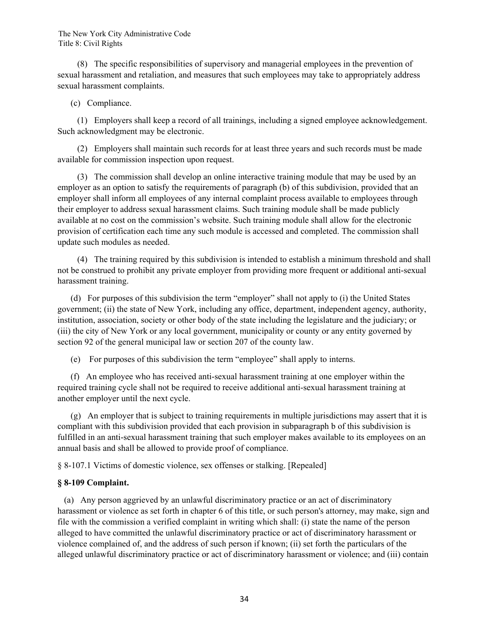(8) The specific responsibilities of supervisory and managerial employees in the prevention of sexual harassment and retaliation, and measures that such employees may take to appropriately address sexual harassment complaints.

### (c) Compliance.

 (1) Employers shall keep a record of all trainings, including a signed employee acknowledgement. Such acknowledgment may be electronic.

 (2) Employers shall maintain such records for at least three years and such records must be made available for commission inspection upon request.

 (3) The commission shall develop an online interactive training module that may be used by an employer as an option to satisfy the requirements of paragraph (b) of this subdivision, provided that an employer shall inform all employees of any internal complaint process available to employees through their employer to address sexual harassment claims. Such training module shall be made publicly available at no cost on the commission's website. Such training module shall allow for the electronic provision of certification each time any such module is accessed and completed. The commission shall update such modules as needed.

 (4) The training required by this subdivision is intended to establish a minimum threshold and shall not be construed to prohibit any private employer from providing more frequent or additional anti-sexual harassment training.

 (d) For purposes of this subdivision the term "employer" shall not apply to (i) the United States government; (ii) the state of New York, including any office, department, independent agency, authority, institution, association, society or other body of the state including the legislature and the judiciary; or (iii) the city of New York or any local government, municipality or county or any entity governed by section 92 of the general municipal law or section 207 of the county law.

(e) For purposes of this subdivision the term "employee" shall apply to interns.

 (f) An employee who has received anti-sexual harassment training at one employer within the required training cycle shall not be required to receive additional anti-sexual harassment training at another employer until the next cycle.

 (g) An employer that is subject to training requirements in multiple jurisdictions may assert that it is compliant with this subdivision provided that each provision in subparagraph b of this subdivision is fulfilled in an anti-sexual harassment training that such employer makes available to its employees on an annual basis and shall be allowed to provide proof of compliance.

§ 8-107.1 Victims of domestic violence, sex offenses or stalking. [Repealed]

### **§ 8-109 Complaint.**

 (a) Any person aggrieved by an unlawful discriminatory practice or an act of discriminatory harassment or violence as set forth in chapter 6 of this title, or such person's attorney, may make, sign and file with the commission a verified complaint in writing which shall: (i) state the name of the person alleged to have committed the unlawful discriminatory practice or act of discriminatory harassment or violence complained of, and the address of such person if known; (ii) set forth the particulars of the alleged unlawful discriminatory practice or act of discriminatory harassment or violence; and (iii) contain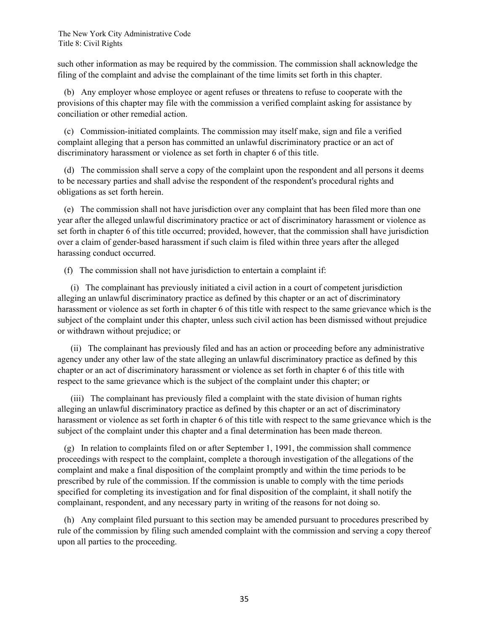such other information as may be required by the commission. The commission shall acknowledge the filing of the complaint and advise the complainant of the time limits set forth in this chapter.

 (b) Any employer whose employee or agent refuses or threatens to refuse to cooperate with the provisions of this chapter may file with the commission a verified complaint asking for assistance by conciliation or other remedial action.

 (c) Commission-initiated complaints. The commission may itself make, sign and file a verified complaint alleging that a person has committed an unlawful discriminatory practice or an act of discriminatory harassment or violence as set forth in chapter 6 of this title.

 (d) The commission shall serve a copy of the complaint upon the respondent and all persons it deems to be necessary parties and shall advise the respondent of the respondent's procedural rights and obligations as set forth herein.

 (e) The commission shall not have jurisdiction over any complaint that has been filed more than one year after the alleged unlawful discriminatory practice or act of discriminatory harassment or violence as set forth in chapter 6 of this title occurred; provided, however, that the commission shall have jurisdiction over a claim of gender-based harassment if such claim is filed within three years after the alleged harassing conduct occurred.

(f) The commission shall not have jurisdiction to entertain a complaint if:

 (i) The complainant has previously initiated a civil action in a court of competent jurisdiction alleging an unlawful discriminatory practice as defined by this chapter or an act of discriminatory harassment or violence as set forth in chapter 6 of this title with respect to the same grievance which is the subject of the complaint under this chapter, unless such civil action has been dismissed without prejudice or withdrawn without prejudice; or

 (ii) The complainant has previously filed and has an action or proceeding before any administrative agency under any other law of the state alleging an unlawful discriminatory practice as defined by this chapter or an act of discriminatory harassment or violence as set forth in chapter 6 of this title with respect to the same grievance which is the subject of the complaint under this chapter; or

 (iii) The complainant has previously filed a complaint with the state division of human rights alleging an unlawful discriminatory practice as defined by this chapter or an act of discriminatory harassment or violence as set forth in chapter 6 of this title with respect to the same grievance which is the subject of the complaint under this chapter and a final determination has been made thereon.

 (g) In relation to complaints filed on or after September 1, 1991, the commission shall commence proceedings with respect to the complaint, complete a thorough investigation of the allegations of the complaint and make a final disposition of the complaint promptly and within the time periods to be prescribed by rule of the commission. If the commission is unable to comply with the time periods specified for completing its investigation and for final disposition of the complaint, it shall notify the complainant, respondent, and any necessary party in writing of the reasons for not doing so.

 (h) Any complaint filed pursuant to this section may be amended pursuant to procedures prescribed by rule of the commission by filing such amended complaint with the commission and serving a copy thereof upon all parties to the proceeding.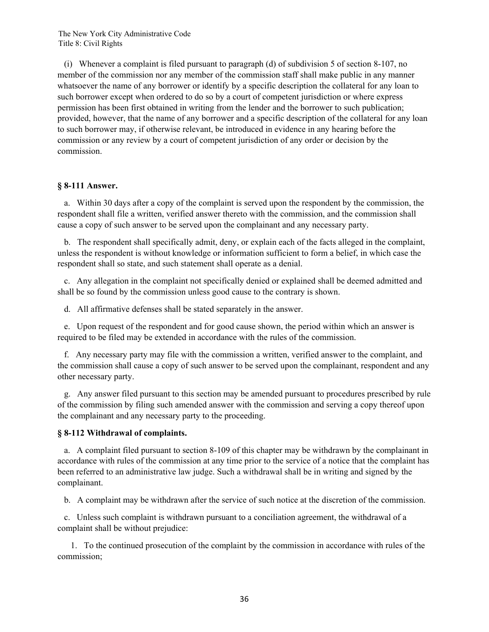(i) Whenever a complaint is filed pursuant to paragraph (d) of subdivision 5 of section 8-107, no member of the commission nor any member of the commission staff shall make public in any manner whatsoever the name of any borrower or identify by a specific description the collateral for any loan to such borrower except when ordered to do so by a court of competent jurisdiction or where express permission has been first obtained in writing from the lender and the borrower to such publication; provided, however, that the name of any borrower and a specific description of the collateral for any loan to such borrower may, if otherwise relevant, be introduced in evidence in any hearing before the commission or any review by a court of competent jurisdiction of any order or decision by the commission.

#### **§ 8-111 Answer.**

 a. Within 30 days after a copy of the complaint is served upon the respondent by the commission, the respondent shall file a written, verified answer thereto with the commission, and the commission shall cause a copy of such answer to be served upon the complainant and any necessary party.

 b. The respondent shall specifically admit, deny, or explain each of the facts alleged in the complaint, unless the respondent is without knowledge or information sufficient to form a belief, in which case the respondent shall so state, and such statement shall operate as a denial.

 c. Any allegation in the complaint not specifically denied or explained shall be deemed admitted and shall be so found by the commission unless good cause to the contrary is shown.

d. All affirmative defenses shall be stated separately in the answer.

 e. Upon request of the respondent and for good cause shown, the period within which an answer is required to be filed may be extended in accordance with the rules of the commission.

 f. Any necessary party may file with the commission a written, verified answer to the complaint, and the commission shall cause a copy of such answer to be served upon the complainant, respondent and any other necessary party.

 g. Any answer filed pursuant to this section may be amended pursuant to procedures prescribed by rule of the commission by filing such amended answer with the commission and serving a copy thereof upon the complainant and any necessary party to the proceeding.

#### **§ 8-112 Withdrawal of complaints.**

 a. A complaint filed pursuant to section 8-109 of this chapter may be withdrawn by the complainant in accordance with rules of the commission at any time prior to the service of a notice that the complaint has been referred to an administrative law judge. Such a withdrawal shall be in writing and signed by the complainant.

b. A complaint may be withdrawn after the service of such notice at the discretion of the commission.

 c. Unless such complaint is withdrawn pursuant to a conciliation agreement, the withdrawal of a complaint shall be without prejudice:

 1. To the continued prosecution of the complaint by the commission in accordance with rules of the commission;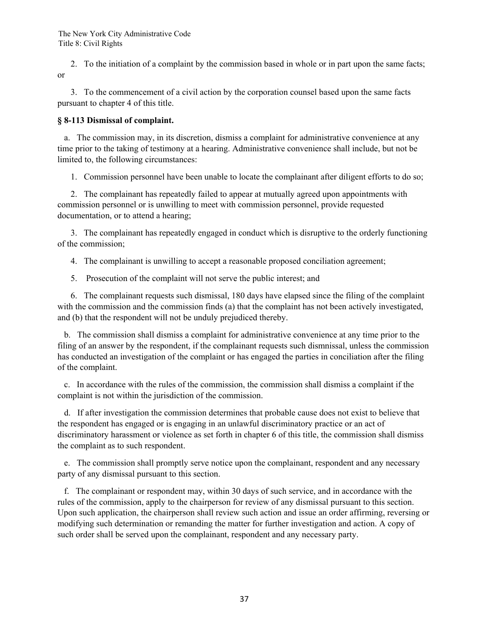2. To the initiation of a complaint by the commission based in whole or in part upon the same facts; or

 3. To the commencement of a civil action by the corporation counsel based upon the same facts pursuant to chapter 4 of this title.

## **§ 8-113 Dismissal of complaint.**

 a. The commission may, in its discretion, dismiss a complaint for administrative convenience at any time prior to the taking of testimony at a hearing. Administrative convenience shall include, but not be limited to, the following circumstances:

1. Commission personnel have been unable to locate the complainant after diligent efforts to do so;

 2. The complainant has repeatedly failed to appear at mutually agreed upon appointments with commission personnel or is unwilling to meet with commission personnel, provide requested documentation, or to attend a hearing;

 3. The complainant has repeatedly engaged in conduct which is disruptive to the orderly functioning of the commission;

4. The complainant is unwilling to accept a reasonable proposed conciliation agreement;

5. Prosecution of the complaint will not serve the public interest; and

 6. The complainant requests such dismissal, 180 days have elapsed since the filing of the complaint with the commission and the commission finds (a) that the complaint has not been actively investigated, and (b) that the respondent will not be unduly prejudiced thereby.

 b. The commission shall dismiss a complaint for administrative convenience at any time prior to the filing of an answer by the respondent, if the complainant requests such dismnissal, unless the commission has conducted an investigation of the complaint or has engaged the parties in conciliation after the filing of the complaint.

 c. In accordance with the rules of the commission, the commission shall dismiss a complaint if the complaint is not within the jurisdiction of the commission.

 d. If after investigation the commission determines that probable cause does not exist to believe that the respondent has engaged or is engaging in an unlawful discriminatory practice or an act of discriminatory harassment or violence as set forth in chapter 6 of this title, the commission shall dismiss the complaint as to such respondent.

 e. The commission shall promptly serve notice upon the complainant, respondent and any necessary party of any dismissal pursuant to this section.

 f. The complainant or respondent may, within 30 days of such service, and in accordance with the rules of the commission, apply to the chairperson for review of any dismissal pursuant to this section. Upon such application, the chairperson shall review such action and issue an order affirming, reversing or modifying such determination or remanding the matter for further investigation and action. A copy of such order shall be served upon the complainant, respondent and any necessary party.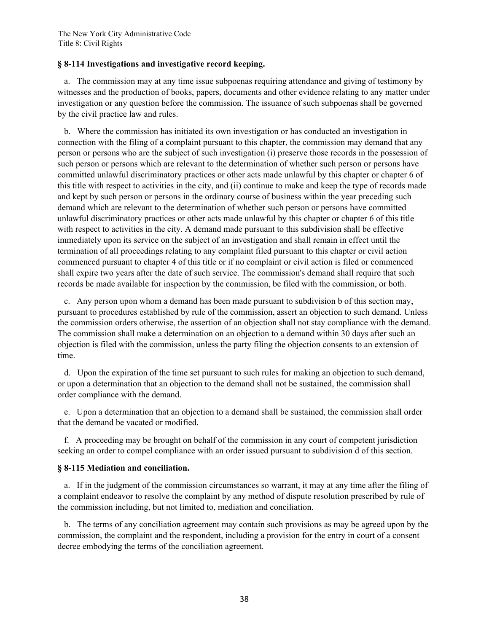## **§ 8-114 Investigations and investigative record keeping.**

 a. The commission may at any time issue subpoenas requiring attendance and giving of testimony by witnesses and the production of books, papers, documents and other evidence relating to any matter under investigation or any question before the commission. The issuance of such subpoenas shall be governed by the civil practice law and rules.

 b. Where the commission has initiated its own investigation or has conducted an investigation in connection with the filing of a complaint pursuant to this chapter, the commission may demand that any person or persons who are the subject of such investigation (i) preserve those records in the possession of such person or persons which are relevant to the determination of whether such person or persons have committed unlawful discriminatory practices or other acts made unlawful by this chapter or chapter 6 of this title with respect to activities in the city, and (ii) continue to make and keep the type of records made and kept by such person or persons in the ordinary course of business within the year preceding such demand which are relevant to the determination of whether such person or persons have committed unlawful discriminatory practices or other acts made unlawful by this chapter or chapter 6 of this title with respect to activities in the city. A demand made pursuant to this subdivision shall be effective immediately upon its service on the subject of an investigation and shall remain in effect until the termination of all proceedings relating to any complaint filed pursuant to this chapter or civil action commenced pursuant to chapter 4 of this title or if no complaint or civil action is filed or commenced shall expire two years after the date of such service. The commission's demand shall require that such records be made available for inspection by the commission, be filed with the commission, or both.

 c. Any person upon whom a demand has been made pursuant to subdivision b of this section may, pursuant to procedures established by rule of the commission, assert an objection to such demand. Unless the commission orders otherwise, the assertion of an objection shall not stay compliance with the demand. The commission shall make a determination on an objection to a demand within 30 days after such an objection is filed with the commission, unless the party filing the objection consents to an extension of time.

 d. Upon the expiration of the time set pursuant to such rules for making an objection to such demand, or upon a determination that an objection to the demand shall not be sustained, the commission shall order compliance with the demand.

 e. Upon a determination that an objection to a demand shall be sustained, the commission shall order that the demand be vacated or modified.

 f. A proceeding may be brought on behalf of the commission in any court of competent jurisdiction seeking an order to compel compliance with an order issued pursuant to subdivision d of this section.

## **§ 8-115 Mediation and conciliation.**

 a. If in the judgment of the commission circumstances so warrant, it may at any time after the filing of a complaint endeavor to resolve the complaint by any method of dispute resolution prescribed by rule of the commission including, but not limited to, mediation and conciliation.

 b. The terms of any conciliation agreement may contain such provisions as may be agreed upon by the commission, the complaint and the respondent, including a provision for the entry in court of a consent decree embodying the terms of the conciliation agreement.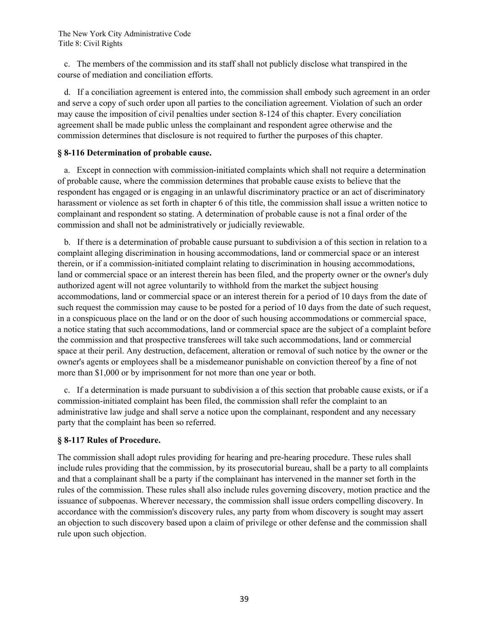c. The members of the commission and its staff shall not publicly disclose what transpired in the course of mediation and conciliation efforts.

 d. If a conciliation agreement is entered into, the commission shall embody such agreement in an order and serve a copy of such order upon all parties to the conciliation agreement. Violation of such an order may cause the imposition of civil penalties under section 8-124 of this chapter. Every conciliation agreement shall be made public unless the complainant and respondent agree otherwise and the commission determines that disclosure is not required to further the purposes of this chapter.

### **§ 8-116 Determination of probable cause.**

 a. Except in connection with commission-initiated complaints which shall not require a determination of probable cause, where the commission determines that probable cause exists to believe that the respondent has engaged or is engaging in an unlawful discriminatory practice or an act of discriminatory harassment or violence as set forth in chapter 6 of this title, the commission shall issue a written notice to complainant and respondent so stating. A determination of probable cause is not a final order of the commission and shall not be administratively or judicially reviewable.

 b. If there is a determination of probable cause pursuant to subdivision a of this section in relation to a complaint alleging discrimination in housing accommodations, land or commercial space or an interest therein, or if a commission-initiated complaint relating to discrimination in housing accommodations, land or commercial space or an interest therein has been filed, and the property owner or the owner's duly authorized agent will not agree voluntarily to withhold from the market the subject housing accommodations, land or commercial space or an interest therein for a period of 10 days from the date of such request the commission may cause to be posted for a period of 10 days from the date of such request, in a conspicuous place on the land or on the door of such housing accommodations or commercial space, a notice stating that such accommodations, land or commercial space are the subject of a complaint before the commission and that prospective transferees will take such accommodations, land or commercial space at their peril. Any destruction, defacement, alteration or removal of such notice by the owner or the owner's agents or employees shall be a misdemeanor punishable on conviction thereof by a fine of not more than \$1,000 or by imprisonment for not more than one year or both.

 c. If a determination is made pursuant to subdivision a of this section that probable cause exists, or if a commission-initiated complaint has been filed, the commission shall refer the complaint to an administrative law judge and shall serve a notice upon the complainant, respondent and any necessary party that the complaint has been so referred.

## **§ 8-117 Rules of Procedure.**

The commission shall adopt rules providing for hearing and pre-hearing procedure. These rules shall include rules providing that the commission, by its prosecutorial bureau, shall be a party to all complaints and that a complainant shall be a party if the complainant has intervened in the manner set forth in the rules of the commission. These rules shall also include rules governing discovery, motion practice and the issuance of subpoenas. Wherever necessary, the commission shall issue orders compelling discovery. In accordance with the commission's discovery rules, any party from whom discovery is sought may assert an objection to such discovery based upon a claim of privilege or other defense and the commission shall rule upon such objection.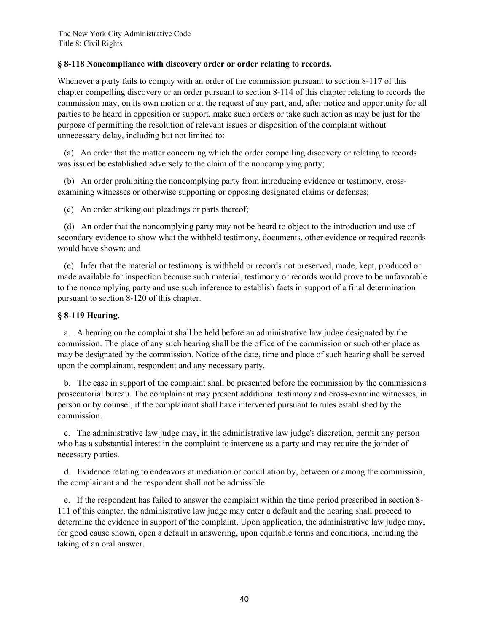## **§ 8-118 Noncompliance with discovery order or order relating to records.**

Whenever a party fails to comply with an order of the commission pursuant to section 8-117 of this chapter compelling discovery or an order pursuant to section 8-114 of this chapter relating to records the commission may, on its own motion or at the request of any part, and, after notice and opportunity for all parties to be heard in opposition or support, make such orders or take such action as may be just for the purpose of permitting the resolution of relevant issues or disposition of the complaint without unnecessary delay, including but not limited to:

 (a) An order that the matter concerning which the order compelling discovery or relating to records was issued be established adversely to the claim of the noncomplying party;

 (b) An order prohibiting the noncomplying party from introducing evidence or testimony, crossexamining witnesses or otherwise supporting or opposing designated claims or defenses;

(c) An order striking out pleadings or parts thereof;

 (d) An order that the noncomplying party may not be heard to object to the introduction and use of secondary evidence to show what the withheld testimony, documents, other evidence or required records would have shown; and

 (e) Infer that the material or testimony is withheld or records not preserved, made, kept, produced or made available for inspection because such material, testimony or records would prove to be unfavorable to the noncomplying party and use such inference to establish facts in support of a final determination pursuant to section 8-120 of this chapter.

## **§ 8-119 Hearing.**

 a. A hearing on the complaint shall be held before an administrative law judge designated by the commission. The place of any such hearing shall be the office of the commission or such other place as may be designated by the commission. Notice of the date, time and place of such hearing shall be served upon the complainant, respondent and any necessary party.

 b. The case in support of the complaint shall be presented before the commission by the commission's prosecutorial bureau. The complainant may present additional testimony and cross-examine witnesses, in person or by counsel, if the complainant shall have intervened pursuant to rules established by the commission.

 c. The administrative law judge may, in the administrative law judge's discretion, permit any person who has a substantial interest in the complaint to intervene as a party and may require the joinder of necessary parties.

 d. Evidence relating to endeavors at mediation or conciliation by, between or among the commission, the complainant and the respondent shall not be admissible.

 e. If the respondent has failed to answer the complaint within the time period prescribed in section 8- 111 of this chapter, the administrative law judge may enter a default and the hearing shall proceed to determine the evidence in support of the complaint. Upon application, the administrative law judge may, for good cause shown, open a default in answering, upon equitable terms and conditions, including the taking of an oral answer.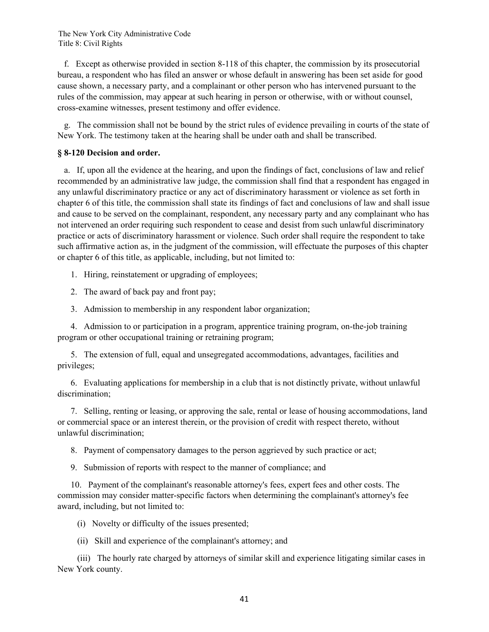f. Except as otherwise provided in section 8-118 of this chapter, the commission by its prosecutorial bureau, a respondent who has filed an answer or whose default in answering has been set aside for good cause shown, a necessary party, and a complainant or other person who has intervened pursuant to the rules of the commission, may appear at such hearing in person or otherwise, with or without counsel, cross-examine witnesses, present testimony and offer evidence.

 g. The commission shall not be bound by the strict rules of evidence prevailing in courts of the state of New York. The testimony taken at the hearing shall be under oath and shall be transcribed.

### **§ 8-120 Decision and order.**

 a. If, upon all the evidence at the hearing, and upon the findings of fact, conclusions of law and relief recommended by an administrative law judge, the commission shall find that a respondent has engaged in any unlawful discriminatory practice or any act of discriminatory harassment or violence as set forth in chapter 6 of this title, the commission shall state its findings of fact and conclusions of law and shall issue and cause to be served on the complainant, respondent, any necessary party and any complainant who has not intervened an order requiring such respondent to cease and desist from such unlawful discriminatory practice or acts of discriminatory harassment or violence. Such order shall require the respondent to take such affirmative action as, in the judgment of the commission, will effectuate the purposes of this chapter or chapter 6 of this title, as applicable, including, but not limited to:

1. Hiring, reinstatement or upgrading of employees;

2. The award of back pay and front pay;

3. Admission to membership in any respondent labor organization;

 4. Admission to or participation in a program, apprentice training program, on-the-job training program or other occupational training or retraining program;

 5. The extension of full, equal and unsegregated accommodations, advantages, facilities and privileges;

 6. Evaluating applications for membership in a club that is not distinctly private, without unlawful discrimination;

 7. Selling, renting or leasing, or approving the sale, rental or lease of housing accommodations, land or commercial space or an interest therein, or the provision of credit with respect thereto, without unlawful discrimination;

8. Payment of compensatory damages to the person aggrieved by such practice or act;

9. Submission of reports with respect to the manner of compliance; and

 10. Payment of the complainant's reasonable attorney's fees, expert fees and other costs. The commission may consider matter-specific factors when determining the complainant's attorney's fee award, including, but not limited to:

(i) Novelty or difficulty of the issues presented;

(ii) Skill and experience of the complainant's attorney; and

 (iii) The hourly rate charged by attorneys of similar skill and experience litigating similar cases in New York county.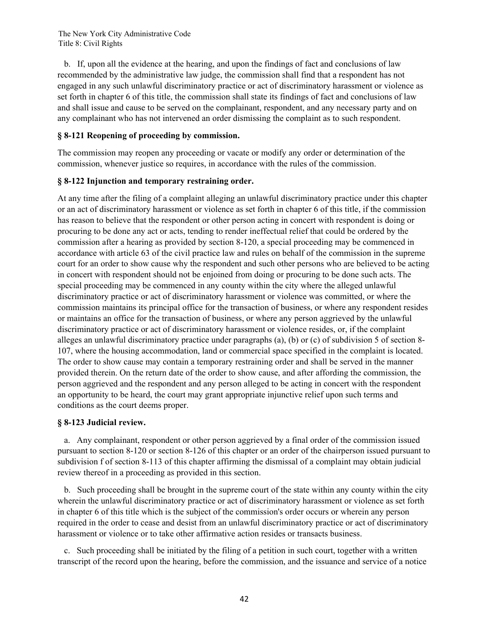b. If, upon all the evidence at the hearing, and upon the findings of fact and conclusions of law recommended by the administrative law judge, the commission shall find that a respondent has not engaged in any such unlawful discriminatory practice or act of discriminatory harassment or violence as set forth in chapter 6 of this title, the commission shall state its findings of fact and conclusions of law and shall issue and cause to be served on the complainant, respondent, and any necessary party and on any complainant who has not intervened an order dismissing the complaint as to such respondent.

# **§ 8-121 Reopening of proceeding by commission.**

The commission may reopen any proceeding or vacate or modify any order or determination of the commission, whenever justice so requires, in accordance with the rules of the commission.

# **§ 8-122 Injunction and temporary restraining order.**

At any time after the filing of a complaint alleging an unlawful discriminatory practice under this chapter or an act of discriminatory harassment or violence as set forth in chapter 6 of this title, if the commission has reason to believe that the respondent or other person acting in concert with respondent is doing or procuring to be done any act or acts, tending to render ineffectual relief that could be ordered by the commission after a hearing as provided by section 8-120, a special proceeding may be commenced in accordance with article 63 of the civil practice law and rules on behalf of the commission in the supreme court for an order to show cause why the respondent and such other persons who are believed to be acting in concert with respondent should not be enjoined from doing or procuring to be done such acts. The special proceeding may be commenced in any county within the city where the alleged unlawful discriminatory practice or act of discriminatory harassment or violence was committed, or where the commission maintains its principal office for the transaction of business, or where any respondent resides or maintains an office for the transaction of business, or where any person aggrieved by the unlawful discriminatory practice or act of discriminatory harassment or violence resides, or, if the complaint alleges an unlawful discriminatory practice under paragraphs (a), (b) or (c) of subdivision 5 of section 8- 107, where the housing accommodation, land or commercial space specified in the complaint is located. The order to show cause may contain a temporary restraining order and shall be served in the manner provided therein. On the return date of the order to show cause, and after affording the commission, the person aggrieved and the respondent and any person alleged to be acting in concert with the respondent an opportunity to be heard, the court may grant appropriate injunctive relief upon such terms and conditions as the court deems proper.

# **§ 8-123 Judicial review.**

 a. Any complainant, respondent or other person aggrieved by a final order of the commission issued pursuant to section 8-120 or section 8-126 of this chapter or an order of the chairperson issued pursuant to subdivision f of section 8-113 of this chapter affirming the dismissal of a complaint may obtain judicial review thereof in a proceeding as provided in this section.

 b. Such proceeding shall be brought in the supreme court of the state within any county within the city wherein the unlawful discriminatory practice or act of discriminatory harassment or violence as set forth in chapter 6 of this title which is the subject of the commission's order occurs or wherein any person required in the order to cease and desist from an unlawful discriminatory practice or act of discriminatory harassment or violence or to take other affirmative action resides or transacts business.

 c. Such proceeding shall be initiated by the filing of a petition in such court, together with a written transcript of the record upon the hearing, before the commission, and the issuance and service of a notice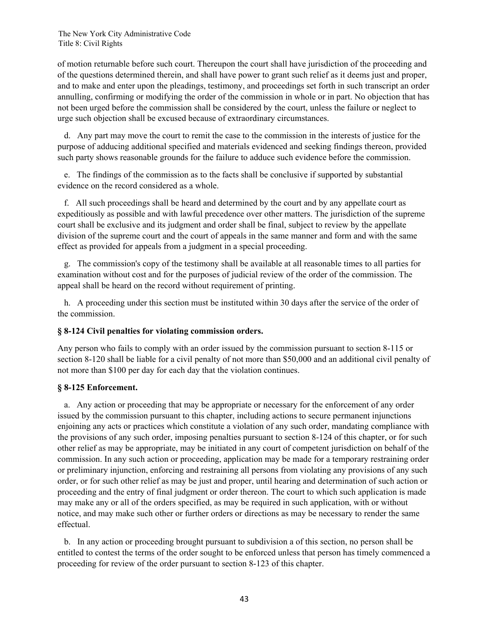of motion returnable before such court. Thereupon the court shall have jurisdiction of the proceeding and of the questions determined therein, and shall have power to grant such relief as it deems just and proper, and to make and enter upon the pleadings, testimony, and proceedings set forth in such transcript an order annulling, confirming or modifying the order of the commission in whole or in part. No objection that has not been urged before the commission shall be considered by the court, unless the failure or neglect to urge such objection shall be excused because of extraordinary circumstances.

 d. Any part may move the court to remit the case to the commission in the interests of justice for the purpose of adducing additional specified and materials evidenced and seeking findings thereon, provided such party shows reasonable grounds for the failure to adduce such evidence before the commission.

 e. The findings of the commission as to the facts shall be conclusive if supported by substantial evidence on the record considered as a whole.

 f. All such proceedings shall be heard and determined by the court and by any appellate court as expeditiously as possible and with lawful precedence over other matters. The jurisdiction of the supreme court shall be exclusive and its judgment and order shall be final, subject to review by the appellate division of the supreme court and the court of appeals in the same manner and form and with the same effect as provided for appeals from a judgment in a special proceeding.

 g. The commission's copy of the testimony shall be available at all reasonable times to all parties for examination without cost and for the purposes of judicial review of the order of the commission. The appeal shall be heard on the record without requirement of printing.

 h. A proceeding under this section must be instituted within 30 days after the service of the order of the commission.

## **§ 8-124 Civil penalties for violating commission orders.**

Any person who fails to comply with an order issued by the commission pursuant to section 8-115 or section 8-120 shall be liable for a civil penalty of not more than \$50,000 and an additional civil penalty of not more than \$100 per day for each day that the violation continues.

#### **§ 8-125 Enforcement.**

 a. Any action or proceeding that may be appropriate or necessary for the enforcement of any order issued by the commission pursuant to this chapter, including actions to secure permanent injunctions enjoining any acts or practices which constitute a violation of any such order, mandating compliance with the provisions of any such order, imposing penalties pursuant to section 8-124 of this chapter, or for such other relief as may be appropriate, may be initiated in any court of competent jurisdiction on behalf of the commission. In any such action or proceeding, application may be made for a temporary restraining order or preliminary injunction, enforcing and restraining all persons from violating any provisions of any such order, or for such other relief as may be just and proper, until hearing and determination of such action or proceeding and the entry of final judgment or order thereon. The court to which such application is made may make any or all of the orders specified, as may be required in such application, with or without notice, and may make such other or further orders or directions as may be necessary to render the same effectual.

 b. In any action or proceeding brought pursuant to subdivision a of this section, no person shall be entitled to contest the terms of the order sought to be enforced unless that person has timely commenced a proceeding for review of the order pursuant to section 8-123 of this chapter.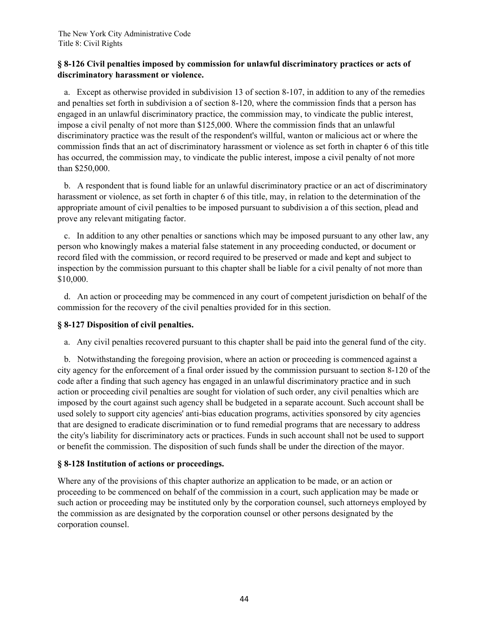# **§ 8-126 Civil penalties imposed by commission for unlawful discriminatory practices or acts of discriminatory harassment or violence.**

 a. Except as otherwise provided in subdivision 13 of section 8-107, in addition to any of the remedies and penalties set forth in subdivision a of section 8-120, where the commission finds that a person has engaged in an unlawful discriminatory practice, the commission may, to vindicate the public interest, impose a civil penalty of not more than \$125,000. Where the commission finds that an unlawful discriminatory practice was the result of the respondent's willful, wanton or malicious act or where the commission finds that an act of discriminatory harassment or violence as set forth in chapter 6 of this title has occurred, the commission may, to vindicate the public interest, impose a civil penalty of not more than \$250,000.

 b. A respondent that is found liable for an unlawful discriminatory practice or an act of discriminatory harassment or violence, as set forth in chapter 6 of this title, may, in relation to the determination of the appropriate amount of civil penalties to be imposed pursuant to subdivision a of this section, plead and prove any relevant mitigating factor.

 c. In addition to any other penalties or sanctions which may be imposed pursuant to any other law, any person who knowingly makes a material false statement in any proceeding conducted, or document or record filed with the commission, or record required to be preserved or made and kept and subject to inspection by the commission pursuant to this chapter shall be liable for a civil penalty of not more than \$10,000.

 d. An action or proceeding may be commenced in any court of competent jurisdiction on behalf of the commission for the recovery of the civil penalties provided for in this section.

# **§ 8-127 Disposition of civil penalties.**

a. Any civil penalties recovered pursuant to this chapter shall be paid into the general fund of the city.

 b. Notwithstanding the foregoing provision, where an action or proceeding is commenced against a city agency for the enforcement of a final order issued by the commission pursuant to section 8-120 of the code after a finding that such agency has engaged in an unlawful discriminatory practice and in such action or proceeding civil penalties are sought for violation of such order, any civil penalties which are imposed by the court against such agency shall be budgeted in a separate account. Such account shall be used solely to support city agencies' anti-bias education programs, activities sponsored by city agencies that are designed to eradicate discrimination or to fund remedial programs that are necessary to address the city's liability for discriminatory acts or practices. Funds in such account shall not be used to support or benefit the commission. The disposition of such funds shall be under the direction of the mayor.

# **§ 8-128 Institution of actions or proceedings.**

Where any of the provisions of this chapter authorize an application to be made, or an action or proceeding to be commenced on behalf of the commission in a court, such application may be made or such action or proceeding may be instituted only by the corporation counsel, such attorneys employed by the commission as are designated by the corporation counsel or other persons designated by the corporation counsel.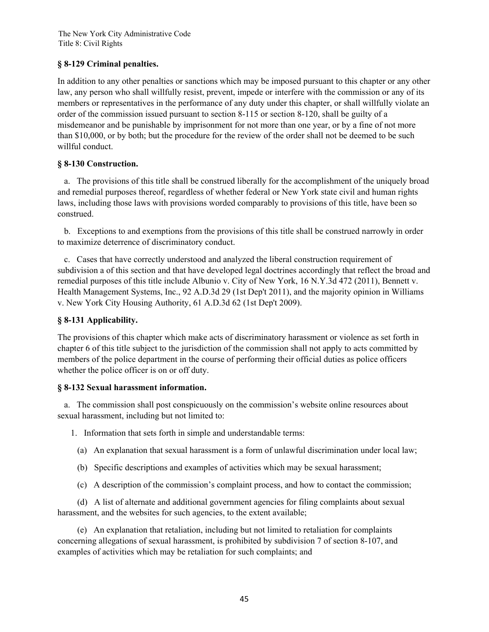# **§ 8-129 Criminal penalties.**

In addition to any other penalties or sanctions which may be imposed pursuant to this chapter or any other law, any person who shall willfully resist, prevent, impede or interfere with the commission or any of its members or representatives in the performance of any duty under this chapter, or shall willfully violate an order of the commission issued pursuant to section 8-115 or section 8-120, shall be guilty of a misdemeanor and be punishable by imprisonment for not more than one year, or by a fine of not more than \$10,000, or by both; but the procedure for the review of the order shall not be deemed to be such willful conduct.

# **§ 8-130 Construction.**

 a. The provisions of this title shall be construed liberally for the accomplishment of the uniquely broad and remedial purposes thereof, regardless of whether federal or New York state civil and human rights laws, including those laws with provisions worded comparably to provisions of this title, have been so construed.

 b. Exceptions to and exemptions from the provisions of this title shall be construed narrowly in order to maximize deterrence of discriminatory conduct.

 c. Cases that have correctly understood and analyzed the liberal construction requirement of subdivision a of this section and that have developed legal doctrines accordingly that reflect the broad and remedial purposes of this title include Albunio v. City of New York, 16 N.Y.3d 472 (2011), Bennett v. Health Management Systems, Inc., 92 A.D.3d 29 (1st Dep't 2011), and the majority opinion in Williams v. New York City Housing Authority, 61 A.D.3d 62 (1st Dep't 2009).

## **§ 8-131 Applicability.**

The provisions of this chapter which make acts of discriminatory harassment or violence as set forth in chapter 6 of this title subject to the jurisdiction of the commission shall not apply to acts committed by members of the police department in the course of performing their official duties as police officers whether the police officer is on or off duty.

## **§ 8-132 Sexual harassment information.**

 a. The commission shall post conspicuously on the commission's website online resources about sexual harassment, including but not limited to:

1. Information that sets forth in simple and understandable terms:

- (a) An explanation that sexual harassment is a form of unlawful discrimination under local law;
- (b) Specific descriptions and examples of activities which may be sexual harassment;
- (c) A description of the commission's complaint process, and how to contact the commission;

 (d) A list of alternate and additional government agencies for filing complaints about sexual harassment, and the websites for such agencies, to the extent available;

 (e) An explanation that retaliation, including but not limited to retaliation for complaints concerning allegations of sexual harassment, is prohibited by subdivision 7 of section 8-107, and examples of activities which may be retaliation for such complaints; and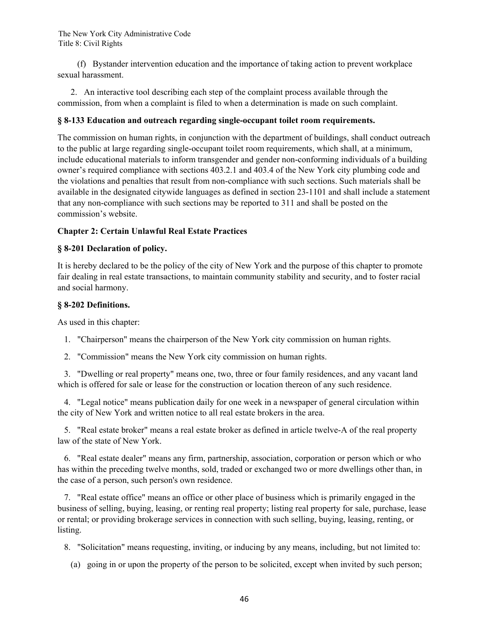(f) Bystander intervention education and the importance of taking action to prevent workplace sexual harassment.

 2. An interactive tool describing each step of the complaint process available through the commission, from when a complaint is filed to when a determination is made on such complaint.

## **§ 8-133 Education and outreach regarding single-occupant toilet room requirements.**

The commission on human rights, in conjunction with the department of buildings, shall conduct outreach to the public at large regarding single-occupant toilet room requirements, which shall, at a minimum, include educational materials to inform transgender and gender non-conforming individuals of a building owner's required compliance with sections 403.2.1 and 403.4 of the New York city plumbing code and the violations and penalties that result from non-compliance with such sections. Such materials shall be available in the designated citywide languages as defined in section 23-1101 and shall include a statement that any non-compliance with such sections may be reported to 311 and shall be posted on the commission's website.

## **Chapter 2: Certain Unlawful Real Estate Practices**

## **§ 8-201 Declaration of policy.**

It is hereby declared to be the policy of the city of New York and the purpose of this chapter to promote fair dealing in real estate transactions, to maintain community stability and security, and to foster racial and social harmony.

## **§ 8-202 Definitions.**

As used in this chapter:

1. "Chairperson" means the chairperson of the New York city commission on human rights.

2. "Commission" means the New York city commission on human rights.

 3. "Dwelling or real property" means one, two, three or four family residences, and any vacant land which is offered for sale or lease for the construction or location thereon of any such residence.

 4. "Legal notice" means publication daily for one week in a newspaper of general circulation within the city of New York and written notice to all real estate brokers in the area.

 5. "Real estate broker" means a real estate broker as defined in article twelve-A of the real property law of the state of New York.

 6. "Real estate dealer" means any firm, partnership, association, corporation or person which or who has within the preceding twelve months, sold, traded or exchanged two or more dwellings other than, in the case of a person, such person's own residence.

 7. "Real estate office" means an office or other place of business which is primarily engaged in the business of selling, buying, leasing, or renting real property; listing real property for sale, purchase, lease or rental; or providing brokerage services in connection with such selling, buying, leasing, renting, or listing.

8. "Solicitation" means requesting, inviting, or inducing by any means, including, but not limited to:

(a) going in or upon the property of the person to be solicited, except when invited by such person;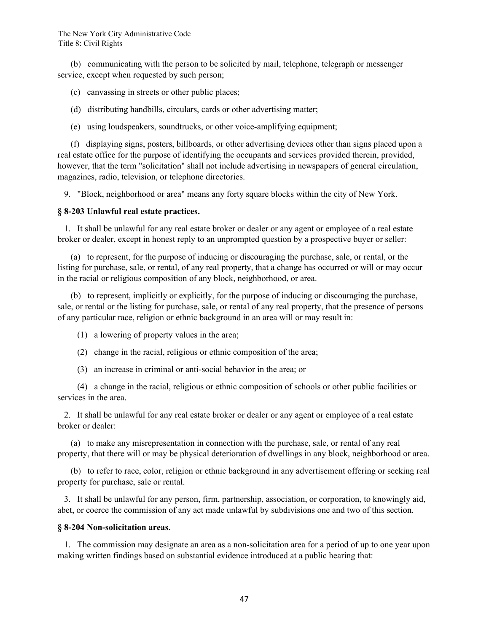(b) communicating with the person to be solicited by mail, telephone, telegraph or messenger service, except when requested by such person;

(c) canvassing in streets or other public places;

- (d) distributing handbills, circulars, cards or other advertising matter;
- (e) using loudspeakers, soundtrucks, or other voice-amplifying equipment;

 (f) displaying signs, posters, billboards, or other advertising devices other than signs placed upon a real estate office for the purpose of identifying the occupants and services provided therein, provided, however, that the term "solicitation" shall not include advertising in newspapers of general circulation, magazines, radio, television, or telephone directories.

9. "Block, neighborhood or area" means any forty square blocks within the city of New York.

#### **§ 8-203 Unlawful real estate practices.**

 1. It shall be unlawful for any real estate broker or dealer or any agent or employee of a real estate broker or dealer, except in honest reply to an unprompted question by a prospective buyer or seller:

 (a) to represent, for the purpose of inducing or discouraging the purchase, sale, or rental, or the listing for purchase, sale, or rental, of any real property, that a change has occurred or will or may occur in the racial or religious composition of any block, neighborhood, or area.

 (b) to represent, implicitly or explicitly, for the purpose of inducing or discouraging the purchase, sale, or rental or the listing for purchase, sale, or rental of any real property, that the presence of persons of any particular race, religion or ethnic background in an area will or may result in:

- (1) a lowering of property values in the area;
- (2) change in the racial, religious or ethnic composition of the area;
- (3) an increase in criminal or anti-social behavior in the area; or

 (4) a change in the racial, religious or ethnic composition of schools or other public facilities or services in the area.

 2. It shall be unlawful for any real estate broker or dealer or any agent or employee of a real estate broker or dealer:

 (a) to make any misrepresentation in connection with the purchase, sale, or rental of any real property, that there will or may be physical deterioration of dwellings in any block, neighborhood or area.

 (b) to refer to race, color, religion or ethnic background in any advertisement offering or seeking real property for purchase, sale or rental.

 3. It shall be unlawful for any person, firm, partnership, association, or corporation, to knowingly aid, abet, or coerce the commission of any act made unlawful by subdivisions one and two of this section.

## **§ 8-204 Non-solicitation areas.**

 1. The commission may designate an area as a non-solicitation area for a period of up to one year upon making written findings based on substantial evidence introduced at a public hearing that: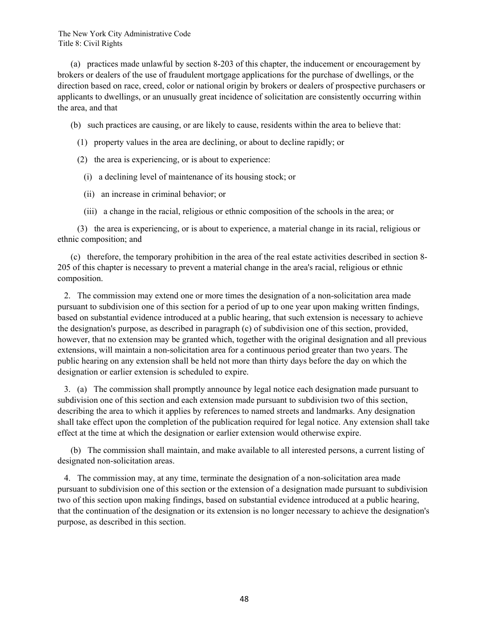(a) practices made unlawful by section 8-203 of this chapter, the inducement or encouragement by brokers or dealers of the use of fraudulent mortgage applications for the purchase of dwellings, or the direction based on race, creed, color or national origin by brokers or dealers of prospective purchasers or applicants to dwellings, or an unusually great incidence of solicitation are consistently occurring within the area, and that

(b) such practices are causing, or are likely to cause, residents within the area to believe that:

- (1) property values in the area are declining, or about to decline rapidly; or
- (2) the area is experiencing, or is about to experience:
	- (i) a declining level of maintenance of its housing stock; or

(ii) an increase in criminal behavior; or

(iii) a change in the racial, religious or ethnic composition of the schools in the area; or

 (3) the area is experiencing, or is about to experience, a material change in its racial, religious or ethnic composition; and

 (c) therefore, the temporary prohibition in the area of the real estate activities described in section 8- 205 of this chapter is necessary to prevent a material change in the area's racial, religious or ethnic composition.

 2. The commission may extend one or more times the designation of a non-solicitation area made pursuant to subdivision one of this section for a period of up to one year upon making written findings, based on substantial evidence introduced at a public hearing, that such extension is necessary to achieve the designation's purpose, as described in paragraph (c) of subdivision one of this section, provided, however, that no extension may be granted which, together with the original designation and all previous extensions, will maintain a non-solicitation area for a continuous period greater than two years. The public hearing on any extension shall be held not more than thirty days before the day on which the designation or earlier extension is scheduled to expire.

 3. (a) The commission shall promptly announce by legal notice each designation made pursuant to subdivision one of this section and each extension made pursuant to subdivision two of this section, describing the area to which it applies by references to named streets and landmarks. Any designation shall take effect upon the completion of the publication required for legal notice. Any extension shall take effect at the time at which the designation or earlier extension would otherwise expire.

 (b) The commission shall maintain, and make available to all interested persons, a current listing of designated non-solicitation areas.

 4. The commission may, at any time, terminate the designation of a non-solicitation area made pursuant to subdivision one of this section or the extension of a designation made pursuant to subdivision two of this section upon making findings, based on substantial evidence introduced at a public hearing, that the continuation of the designation or its extension is no longer necessary to achieve the designation's purpose, as described in this section.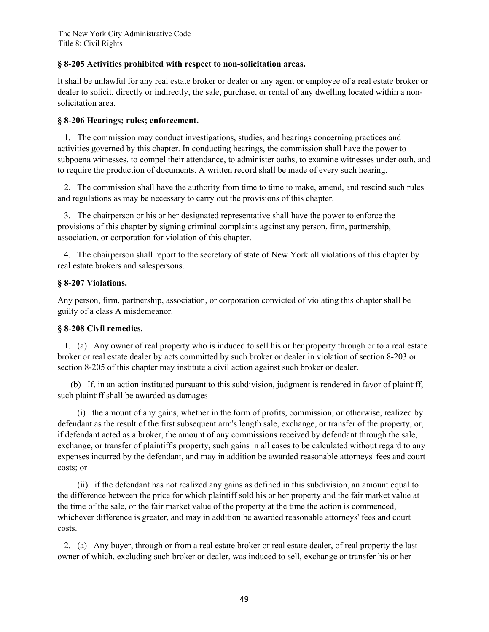## **§ 8-205 Activities prohibited with respect to non-solicitation areas.**

It shall be unlawful for any real estate broker or dealer or any agent or employee of a real estate broker or dealer to solicit, directly or indirectly, the sale, purchase, or rental of any dwelling located within a nonsolicitation area.

## **§ 8-206 Hearings; rules; enforcement.**

 1. The commission may conduct investigations, studies, and hearings concerning practices and activities governed by this chapter. In conducting hearings, the commission shall have the power to subpoena witnesses, to compel their attendance, to administer oaths, to examine witnesses under oath, and to require the production of documents. A written record shall be made of every such hearing.

 2. The commission shall have the authority from time to time to make, amend, and rescind such rules and regulations as may be necessary to carry out the provisions of this chapter.

 3. The chairperson or his or her designated representative shall have the power to enforce the provisions of this chapter by signing criminal complaints against any person, firm, partnership, association, or corporation for violation of this chapter.

 4. The chairperson shall report to the secretary of state of New York all violations of this chapter by real estate brokers and salespersons.

## **§ 8-207 Violations.**

Any person, firm, partnership, association, or corporation convicted of violating this chapter shall be guilty of a class A misdemeanor.

# **§ 8-208 Civil remedies.**

 1. (a) Any owner of real property who is induced to sell his or her property through or to a real estate broker or real estate dealer by acts committed by such broker or dealer in violation of section 8-203 or section 8-205 of this chapter may institute a civil action against such broker or dealer.

 (b) If, in an action instituted pursuant to this subdivision, judgment is rendered in favor of plaintiff, such plaintiff shall be awarded as damages

 (i) the amount of any gains, whether in the form of profits, commission, or otherwise, realized by defendant as the result of the first subsequent arm's length sale, exchange, or transfer of the property, or, if defendant acted as a broker, the amount of any commissions received by defendant through the sale, exchange, or transfer of plaintiff's property, such gains in all cases to be calculated without regard to any expenses incurred by the defendant, and may in addition be awarded reasonable attorneys' fees and court costs; or

 (ii) if the defendant has not realized any gains as defined in this subdivision, an amount equal to the difference between the price for which plaintiff sold his or her property and the fair market value at the time of the sale, or the fair market value of the property at the time the action is commenced, whichever difference is greater, and may in addition be awarded reasonable attorneys' fees and court costs.

 2. (a) Any buyer, through or from a real estate broker or real estate dealer, of real property the last owner of which, excluding such broker or dealer, was induced to sell, exchange or transfer his or her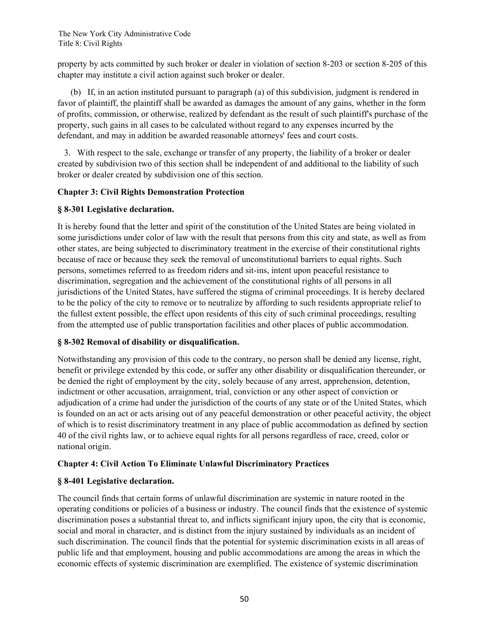property by acts committed by such broker or dealer in violation of section 8-203 or section 8-205 of this chapter may institute a civil action against such broker or dealer.

 (b) If, in an action instituted pursuant to paragraph (a) of this subdivision, judgment is rendered in favor of plaintiff, the plaintiff shall be awarded as damages the amount of any gains, whether in the form of profits, commission, or otherwise, realized by defendant as the result of such plaintiff's purchase of the property, such gains in all cases to be calculated without regard to any expenses incurred by the defendant, and may in addition be awarded reasonable attorneys' fees and court costs.

 3. With respect to the sale, exchange or transfer of any property, the liability of a broker or dealer created by subdivision two of this section shall be independent of and additional to the liability of such broker or dealer created by subdivision one of this section.

# **Chapter 3: Civil Rights Demonstration Protection**

# **§ 8-301 Legislative declaration.**

It is hereby found that the letter and spirit of the constitution of the United States are being violated in some jurisdictions under color of law with the result that persons from this city and state, as well as from other states, are being subjected to discriminatory treatment in the exercise of their constitutional rights because of race or because they seek the removal of unconstitutional barriers to equal rights. Such persons, sometimes referred to as freedom riders and sit-ins, intent upon peaceful resistance to discrimination, segregation and the achievement of the constitutional rights of all persons in all jurisdictions of the United States, have suffered the stigma of criminal proceedings. It is hereby declared to be the policy of the city to remove or to neutralize by affording to such residents appropriate relief to the fullest extent possible, the effect upon residents of this city of such criminal proceedings, resulting from the attempted use of public transportation facilities and other places of public accommodation.

# **§ 8-302 Removal of disability or disqualification.**

Notwithstanding any provision of this code to the contrary, no person shall be denied any license, right, benefit or privilege extended by this code, or suffer any other disability or disqualification thereunder, or be denied the right of employment by the city, solely because of any arrest, apprehension, detention, indictment or other accusation, arraignment, trial, conviction or any other aspect of conviction or adjudication of a crime had under the jurisdiction of the courts of any state or of the United States, which is founded on an act or acts arising out of any peaceful demonstration or other peaceful activity, the object of which is to resist discriminatory treatment in any place of public accommodation as defined by section 40 of the civil rights law, or to achieve equal rights for all persons regardless of race, creed, color or national origin.

# **Chapter 4: Civil Action To Eliminate Unlawful Discriminatory Practices**

# **§ 8-401 Legislative declaration.**

The council finds that certain forms of unlawful discrimination are systemic in nature rooted in the operating conditions or policies of a business or industry. The council finds that the existence of systemic discrimination poses a substantial threat to, and inflicts significant injury upon, the city that is economic, social and moral in character, and is distinct from the injury sustained by individuals as an incident of such discrimination. The council finds that the potential for systemic discrimination exists in all areas of public life and that employment, housing and public accommodations are among the areas in which the economic effects of systemic discrimination are exemplified. The existence of systemic discrimination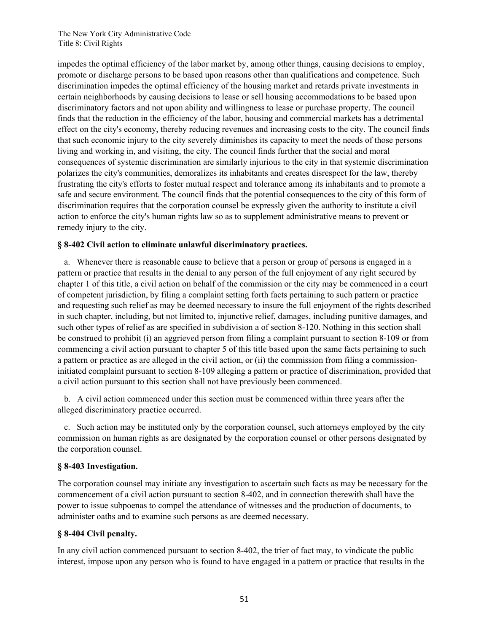impedes the optimal efficiency of the labor market by, among other things, causing decisions to employ, promote or discharge persons to be based upon reasons other than qualifications and competence. Such discrimination impedes the optimal efficiency of the housing market and retards private investments in certain neighborhoods by causing decisions to lease or sell housing accommodations to be based upon discriminatory factors and not upon ability and willingness to lease or purchase property. The council finds that the reduction in the efficiency of the labor, housing and commercial markets has a detrimental effect on the city's economy, thereby reducing revenues and increasing costs to the city. The council finds that such economic injury to the city severely diminishes its capacity to meet the needs of those persons living and working in, and visiting, the city. The council finds further that the social and moral consequences of systemic discrimination are similarly injurious to the city in that systemic discrimination polarizes the city's communities, demoralizes its inhabitants and creates disrespect for the law, thereby frustrating the city's efforts to foster mutual respect and tolerance among its inhabitants and to promote a safe and secure environment. The council finds that the potential consequences to the city of this form of discrimination requires that the corporation counsel be expressly given the authority to institute a civil action to enforce the city's human rights law so as to supplement administrative means to prevent or remedy injury to the city.

## **§ 8-402 Civil action to eliminate unlawful discriminatory practices.**

 a. Whenever there is reasonable cause to believe that a person or group of persons is engaged in a pattern or practice that results in the denial to any person of the full enjoyment of any right secured by chapter 1 of this title, a civil action on behalf of the commission or the city may be commenced in a court of competent jurisdiction, by filing a complaint setting forth facts pertaining to such pattern or practice and requesting such relief as may be deemed necessary to insure the full enjoyment of the rights described in such chapter, including, but not limited to, injunctive relief, damages, including punitive damages, and such other types of relief as are specified in subdivision a of section 8-120. Nothing in this section shall be construed to prohibit (i) an aggrieved person from filing a complaint pursuant to section 8-109 or from commencing a civil action pursuant to chapter 5 of this title based upon the same facts pertaining to such a pattern or practice as are alleged in the civil action, or (ii) the commission from filing a commissioninitiated complaint pursuant to section 8-109 alleging a pattern or practice of discrimination, provided that a civil action pursuant to this section shall not have previously been commenced.

 b. A civil action commenced under this section must be commenced within three years after the alleged discriminatory practice occurred.

 c. Such action may be instituted only by the corporation counsel, such attorneys employed by the city commission on human rights as are designated by the corporation counsel or other persons designated by the corporation counsel.

## **§ 8-403 Investigation.**

The corporation counsel may initiate any investigation to ascertain such facts as may be necessary for the commencement of a civil action pursuant to section 8-402, and in connection therewith shall have the power to issue subpoenas to compel the attendance of witnesses and the production of documents, to administer oaths and to examine such persons as are deemed necessary.

## **§ 8-404 Civil penalty.**

In any civil action commenced pursuant to section 8-402, the trier of fact may, to vindicate the public interest, impose upon any person who is found to have engaged in a pattern or practice that results in the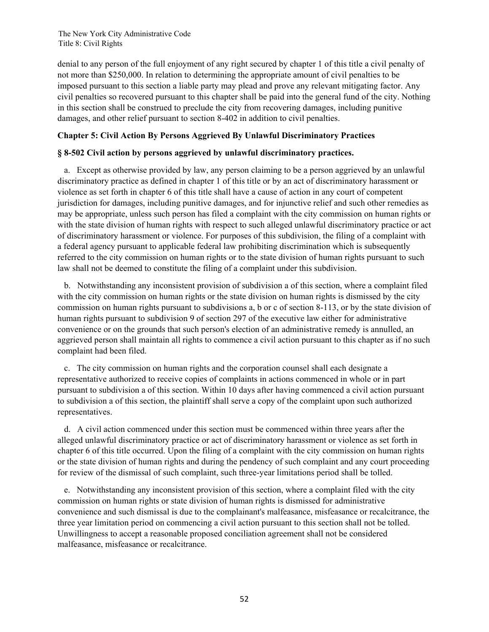denial to any person of the full enjoyment of any right secured by chapter 1 of this title a civil penalty of not more than \$250,000. In relation to determining the appropriate amount of civil penalties to be imposed pursuant to this section a liable party may plead and prove any relevant mitigating factor. Any civil penalties so recovered pursuant to this chapter shall be paid into the general fund of the city. Nothing in this section shall be construed to preclude the city from recovering damages, including punitive damages, and other relief pursuant to section 8-402 in addition to civil penalties.

## **Chapter 5: Civil Action By Persons Aggrieved By Unlawful Discriminatory Practices**

## **§ 8-502 Civil action by persons aggrieved by unlawful discriminatory practices.**

 a. Except as otherwise provided by law, any person claiming to be a person aggrieved by an unlawful discriminatory practice as defined in chapter 1 of this title or by an act of discriminatory harassment or violence as set forth in chapter 6 of this title shall have a cause of action in any court of competent jurisdiction for damages, including punitive damages, and for injunctive relief and such other remedies as may be appropriate, unless such person has filed a complaint with the city commission on human rights or with the state division of human rights with respect to such alleged unlawful discriminatory practice or act of discriminatory harassment or violence. For purposes of this subdivision, the filing of a complaint with a federal agency pursuant to applicable federal law prohibiting discrimination which is subsequently referred to the city commission on human rights or to the state division of human rights pursuant to such law shall not be deemed to constitute the filing of a complaint under this subdivision.

 b. Notwithstanding any inconsistent provision of subdivision a of this section, where a complaint filed with the city commission on human rights or the state division on human rights is dismissed by the city commission on human rights pursuant to subdivisions a, b or c of section 8-113, or by the state division of human rights pursuant to subdivision 9 of section 297 of the executive law either for administrative convenience or on the grounds that such person's election of an administrative remedy is annulled, an aggrieved person shall maintain all rights to commence a civil action pursuant to this chapter as if no such complaint had been filed.

 c. The city commission on human rights and the corporation counsel shall each designate a representative authorized to receive copies of complaints in actions commenced in whole or in part pursuant to subdivision a of this section. Within 10 days after having commenced a civil action pursuant to subdivision a of this section, the plaintiff shall serve a copy of the complaint upon such authorized representatives.

 d. A civil action commenced under this section must be commenced within three years after the alleged unlawful discriminatory practice or act of discriminatory harassment or violence as set forth in chapter 6 of this title occurred. Upon the filing of a complaint with the city commission on human rights or the state division of human rights and during the pendency of such complaint and any court proceeding for review of the dismissal of such complaint, such three-year limitations period shall be tolled.

 e. Notwithstanding any inconsistent provision of this section, where a complaint filed with the city commission on human rights or state division of human rights is dismissed for administrative convenience and such dismissal is due to the complainant's malfeasance, misfeasance or recalcitrance, the three year limitation period on commencing a civil action pursuant to this section shall not be tolled. Unwillingness to accept a reasonable proposed conciliation agreement shall not be considered malfeasance, misfeasance or recalcitrance.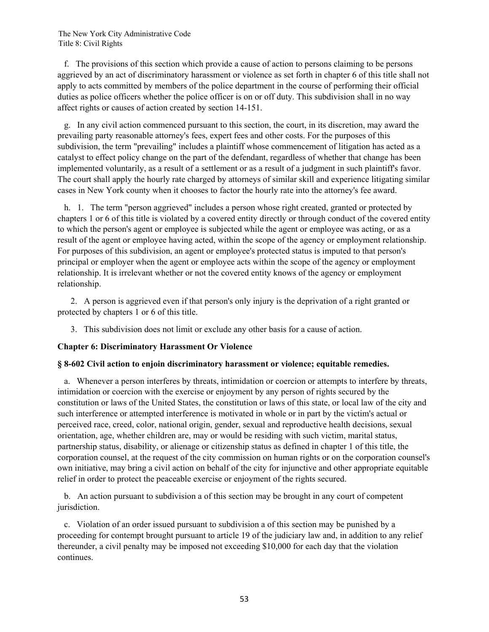f. The provisions of this section which provide a cause of action to persons claiming to be persons aggrieved by an act of discriminatory harassment or violence as set forth in chapter 6 of this title shall not apply to acts committed by members of the police department in the course of performing their official duties as police officers whether the police officer is on or off duty. This subdivision shall in no way affect rights or causes of action created by section 14-151.

 g. In any civil action commenced pursuant to this section, the court, in its discretion, may award the prevailing party reasonable attorney's fees, expert fees and other costs. For the purposes of this subdivision, the term "prevailing" includes a plaintiff whose commencement of litigation has acted as a catalyst to effect policy change on the part of the defendant, regardless of whether that change has been implemented voluntarily, as a result of a settlement or as a result of a judgment in such plaintiff's favor. The court shall apply the hourly rate charged by attorneys of similar skill and experience litigating similar cases in New York county when it chooses to factor the hourly rate into the attorney's fee award.

 h. 1. The term "person aggrieved" includes a person whose right created, granted or protected by chapters 1 or 6 of this title is violated by a covered entity directly or through conduct of the covered entity to which the person's agent or employee is subjected while the agent or employee was acting, or as a result of the agent or employee having acted, within the scope of the agency or employment relationship. For purposes of this subdivision, an agent or employee's protected status is imputed to that person's principal or employer when the agent or employee acts within the scope of the agency or employment relationship. It is irrelevant whether or not the covered entity knows of the agency or employment relationship.

 2. A person is aggrieved even if that person's only injury is the deprivation of a right granted or protected by chapters 1 or 6 of this title.

3. This subdivision does not limit or exclude any other basis for a cause of action.

## **Chapter 6: Discriminatory Harassment Or Violence**

#### **§ 8-602 Civil action to enjoin discriminatory harassment or violence; equitable remedies.**

 a. Whenever a person interferes by threats, intimidation or coercion or attempts to interfere by threats, intimidation or coercion with the exercise or enjoyment by any person of rights secured by the constitution or laws of the United States, the constitution or laws of this state, or local law of the city and such interference or attempted interference is motivated in whole or in part by the victim's actual or perceived race, creed, color, national origin, gender, sexual and reproductive health decisions, sexual orientation, age, whether children are, may or would be residing with such victim, marital status, partnership status, disability, or alienage or citizenship status as defined in chapter 1 of this title, the corporation counsel, at the request of the city commission on human rights or on the corporation counsel's own initiative, may bring a civil action on behalf of the city for injunctive and other appropriate equitable relief in order to protect the peaceable exercise or enjoyment of the rights secured.

 b. An action pursuant to subdivision a of this section may be brought in any court of competent jurisdiction.

 c. Violation of an order issued pursuant to subdivision a of this section may be punished by a proceeding for contempt brought pursuant to article 19 of the judiciary law and, in addition to any relief thereunder, a civil penalty may be imposed not exceeding \$10,000 for each day that the violation continues.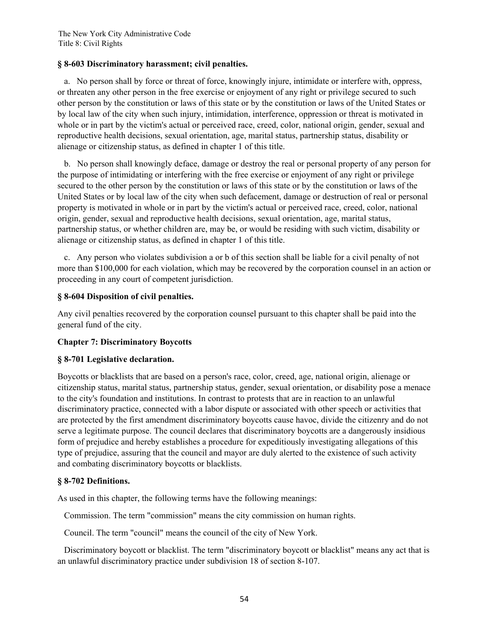## **§ 8-603 Discriminatory harassment; civil penalties.**

 a. No person shall by force or threat of force, knowingly injure, intimidate or interfere with, oppress, or threaten any other person in the free exercise or enjoyment of any right or privilege secured to such other person by the constitution or laws of this state or by the constitution or laws of the United States or by local law of the city when such injury, intimidation, interference, oppression or threat is motivated in whole or in part by the victim's actual or perceived race, creed, color, national origin, gender, sexual and reproductive health decisions, sexual orientation, age, marital status, partnership status, disability or alienage or citizenship status, as defined in chapter 1 of this title.

 b. No person shall knowingly deface, damage or destroy the real or personal property of any person for the purpose of intimidating or interfering with the free exercise or enjoyment of any right or privilege secured to the other person by the constitution or laws of this state or by the constitution or laws of the United States or by local law of the city when such defacement, damage or destruction of real or personal property is motivated in whole or in part by the victim's actual or perceived race, creed, color, national origin, gender, sexual and reproductive health decisions, sexual orientation, age, marital status, partnership status, or whether children are, may be, or would be residing with such victim, disability or alienage or citizenship status, as defined in chapter 1 of this title.

 c. Any person who violates subdivision a or b of this section shall be liable for a civil penalty of not more than \$100,000 for each violation, which may be recovered by the corporation counsel in an action or proceeding in any court of competent jurisdiction.

## **§ 8-604 Disposition of civil penalties.**

Any civil penalties recovered by the corporation counsel pursuant to this chapter shall be paid into the general fund of the city.

## **Chapter 7: Discriminatory Boycotts**

## **§ 8-701 Legislative declaration.**

Boycotts or blacklists that are based on a person's race, color, creed, age, national origin, alienage or citizenship status, marital status, partnership status, gender, sexual orientation, or disability pose a menace to the city's foundation and institutions. In contrast to protests that are in reaction to an unlawful discriminatory practice, connected with a labor dispute or associated with other speech or activities that are protected by the first amendment discriminatory boycotts cause havoc, divide the citizenry and do not serve a legitimate purpose. The council declares that discriminatory boycotts are a dangerously insidious form of prejudice and hereby establishes a procedure for expeditiously investigating allegations of this type of prejudice, assuring that the council and mayor are duly alerted to the existence of such activity and combating discriminatory boycotts or blacklists.

## **§ 8-702 Definitions.**

As used in this chapter, the following terms have the following meanings:

Commission. The term "commission" means the city commission on human rights.

Council. The term "council" means the council of the city of New York.

 Discriminatory boycott or blacklist. The term "discriminatory boycott or blacklist" means any act that is an unlawful discriminatory practice under subdivision 18 of section 8-107.